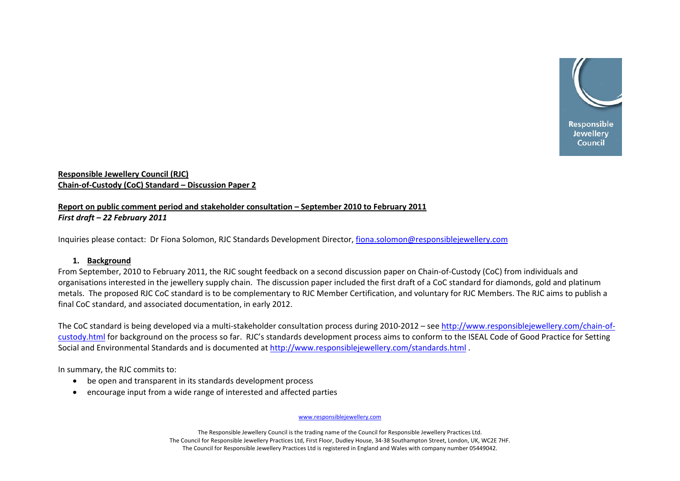

# **Responsible Jewellery Council (RJC) Chain‐of‐Custody (CoC) Standard – Discussion Paper 2**

# **Report on public comment period and stakeholder consultation – September 2010 to February 2011** *First draft – 22 February 2011*

Inquiries please contact: Dr Fiona Solomon, RJC Standards Development Director, [fiona.solomon@responsiblejewellery.com](mailto:fiona.solomon@responsiblejewellery.com)

# **1. Background**

From September, 2010 to February 2011, the RJC sought feedback on <sup>a</sup> second discussion paper on Chain‐of‐Custody (CoC) from individuals and organisations interested in the jewellery supply chain. The discussion paper included the first draft of <sup>a</sup> CoC standard for diamonds, gold and platinum metals. The proposed RJC CoC standard is to be complementary to RJC Member Certification, and voluntary for RJC Members. The RJC aims to publish <sup>a</sup> final CoC standard, and associated documentation, in early 2012.

The CoC standard is being developed via a multi-stakeholder consultation process during 2010-2012 – see [http://www.responsiblejewellery.com/chain](http://www.responsiblejewellery.com/chain-of-custody.html)-of[custody.html](http://www.responsiblejewellery.com/chain-of-custody.html) for background on the process so far. RJC's standards development process aims to conform to the ISEAL Code of Good Practice for Setting Social and Environmental Standards and is documented at <http://www.responsiblejewellery.com/standards.html> .

In summary, the RJC commits to:

- be open and transparent in its standards development process
- •encourage input from <sup>a</sup> wide range of interested and affected parties

www.responsiblejewellery.com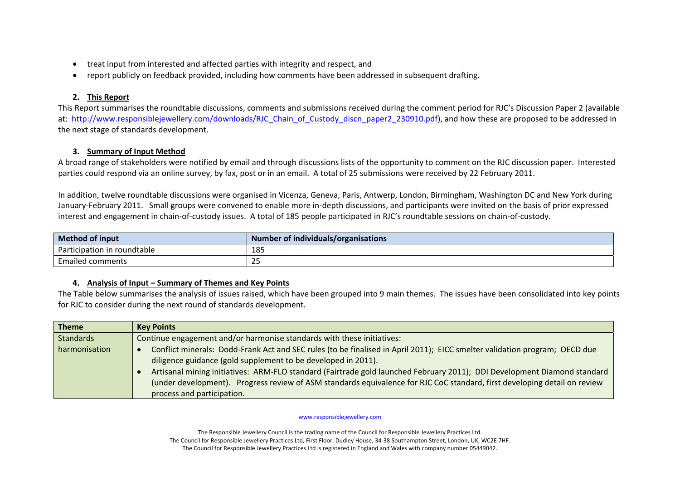- •treat input from interested and affected parties with integrity and respect, and
- $\bullet$ report publicly on feedback provided, including how comments have been addressed in subsequent drafting.

# **2. This Report**

This Report summarises the roundtable discussions, comments and submissions received during the comment period for RJC's Discussion Paper 2 (available at: http://www.responsiblejewellery.com/downloads/RJC Chain of Custody discn paper2 230910.pdf), and how these are proposed to be addressed in the next stage of standards development.

# **3. Summary of Input Method**

A broad range of stakeholders were notified by email and through discussions lists of the opportunity to comment on the RJC discussion paper. Interested parties could respond via an online survey, by fax, post or in an email. A total of 25 submissions were received by 22 February 2011.

In addition, twelve roundtable discussions were organised in Vicenza, Geneva, Paris, Antwerp, London, Birmingham, Washington DC and New York during January‐February 2011. Small groups were convened to enable more in‐depth discussions, and participants were invited on the basis of prior expressed interest and engagement in chain‐of‐custody issues. A total of 185 people participated in RJC's roundtable sessions on chain‐of‐custody.

| Method of input                | of individuals/organisations"<br>Number |
|--------------------------------|-----------------------------------------|
| roundtable<br>Participation in | 185                                     |
| Emailed<br>comments            | تے                                      |

# **4. Analysis of Input – Summary of Themes and Key Points**

The Table below summarises the analysis of issues raised, which have been grouped into 9 main themes. The issues have been consolidated into key points for RJC to consider during the next round of standards development.

| <b>Theme</b>     | <b>Key Points</b>                                                                                                          |
|------------------|----------------------------------------------------------------------------------------------------------------------------|
| <b>Standards</b> | Continue engagement and/or harmonise standards with these initiatives:                                                     |
| harmonisation    | Conflict minerals: Dodd-Frank Act and SEC rules (to be finalised in April 2011); EICC smelter validation program; OECD due |
|                  | diligence guidance (gold supplement to be developed in 2011).                                                              |
|                  | Artisanal mining initiatives: ARM-FLO standard (Fairtrade gold launched February 2011); DDI Development Diamond standard   |
|                  | (under development). Progress review of ASM standards equivalence for RJC CoC standard, first developing detail on review  |
|                  | process and participation.                                                                                                 |

### www.responsiblejewellery.com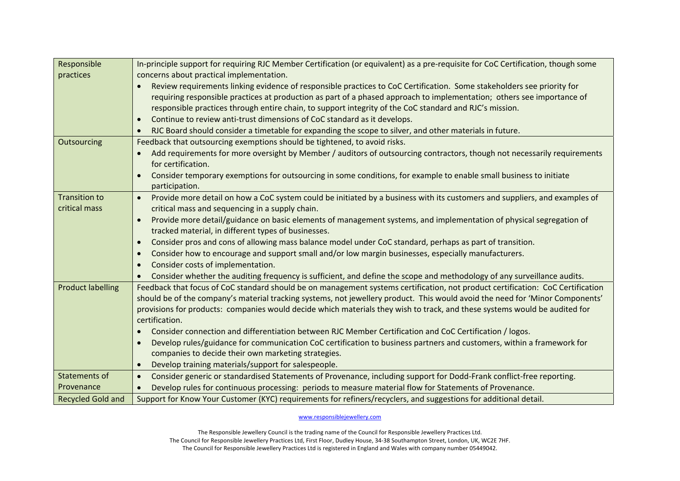| Responsible              | In-principle support for requiring RJC Member Certification (or equivalent) as a pre-requisite for CoC Certification, though some       |
|--------------------------|-----------------------------------------------------------------------------------------------------------------------------------------|
| practices                | concerns about practical implementation.                                                                                                |
|                          | Review requirements linking evidence of responsible practices to CoC Certification. Some stakeholders see priority for                  |
|                          | requiring responsible practices at production as part of a phased approach to implementation; others see importance of                  |
|                          | responsible practices through entire chain, to support integrity of the CoC standard and RJC's mission.                                 |
|                          | Continue to review anti-trust dimensions of CoC standard as it develops.<br>$\bullet$                                                   |
|                          | RJC Board should consider a timetable for expanding the scope to silver, and other materials in future.                                 |
| Outsourcing              | Feedback that outsourcing exemptions should be tightened, to avoid risks.                                                               |
|                          | Add requirements for more oversight by Member / auditors of outsourcing contractors, though not necessarily requirements                |
|                          | for certification.                                                                                                                      |
|                          | Consider temporary exemptions for outsourcing in some conditions, for example to enable small business to initiate<br>$\bullet$         |
|                          | participation.                                                                                                                          |
| <b>Transition to</b>     | Provide more detail on how a CoC system could be initiated by a business with its customers and suppliers, and examples of<br>$\bullet$ |
| critical mass            | critical mass and sequencing in a supply chain.                                                                                         |
|                          | Provide more detail/guidance on basic elements of management systems, and implementation of physical segregation of                     |
|                          | tracked material, in different types of businesses.                                                                                     |
|                          | Consider pros and cons of allowing mass balance model under CoC standard, perhaps as part of transition.<br>$\bullet$                   |
|                          | Consider how to encourage and support small and/or low margin businesses, especially manufacturers.<br>$\bullet$                        |
|                          | Consider costs of implementation.<br>$\bullet$                                                                                          |
|                          | Consider whether the auditing frequency is sufficient, and define the scope and methodology of any surveillance audits.                 |
| <b>Product labelling</b> | Feedback that focus of CoC standard should be on management systems certification, not product certification: CoC Certification         |
|                          | should be of the company's material tracking systems, not jewellery product. This would avoid the need for 'Minor Components'           |
|                          | provisions for products: companies would decide which materials they wish to track, and these systems would be audited for              |
|                          | certification.                                                                                                                          |
|                          | Consider connection and differentiation between RJC Member Certification and CoC Certification / logos.                                 |
|                          | Develop rules/guidance for communication CoC certification to business partners and customers, within a framework for<br>$\bullet$      |
|                          | companies to decide their own marketing strategies.                                                                                     |
|                          | Develop training materials/support for salespeople.<br>$\bullet$                                                                        |
| <b>Statements of</b>     | Consider generic or standardised Statements of Provenance, including support for Dodd-Frank conflict-free reporting.<br>$\bullet$       |
| Provenance               | Develop rules for continuous processing: periods to measure material flow for Statements of Provenance.                                 |
| <b>Recycled Gold and</b> | Support for Know Your Customer (KYC) requirements for refiners/recyclers, and suggestions for additional detail.                        |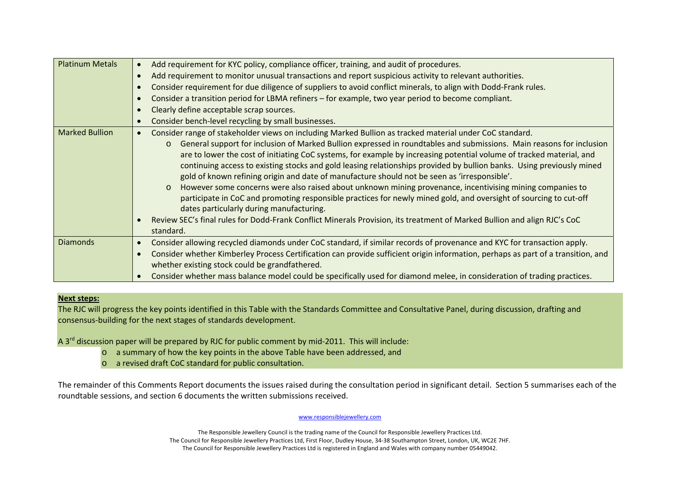| <b>Platinum Metals</b> | Add requirement for KYC policy, compliance officer, training, and audit of procedures.<br>$\bullet$<br>Add requirement to monitor unusual transactions and report suspicious activity to relevant authorities.<br>$\bullet$<br>Consider requirement for due diligence of suppliers to avoid conflict minerals, to align with Dodd-Frank rules.<br>$\bullet$<br>Consider a transition period for LBMA refiners – for example, two year period to become compliant.<br>$\bullet$<br>Clearly define acceptable scrap sources.<br>$\bullet$<br>Consider bench-level recycling by small businesses.<br>$\bullet$                                                                                                                                                                                                                                                                                                                                                                                                                                             |
|------------------------|---------------------------------------------------------------------------------------------------------------------------------------------------------------------------------------------------------------------------------------------------------------------------------------------------------------------------------------------------------------------------------------------------------------------------------------------------------------------------------------------------------------------------------------------------------------------------------------------------------------------------------------------------------------------------------------------------------------------------------------------------------------------------------------------------------------------------------------------------------------------------------------------------------------------------------------------------------------------------------------------------------------------------------------------------------|
| <b>Marked Bullion</b>  | Consider range of stakeholder views on including Marked Bullion as tracked material under CoC standard.<br>$\bullet$<br>General support for inclusion of Marked Bullion expressed in roundtables and submissions. Main reasons for inclusion<br>$\circ$<br>are to lower the cost of initiating CoC systems, for example by increasing potential volume of tracked material, and<br>continuing access to existing stocks and gold leasing relationships provided by bullion banks. Using previously mined<br>gold of known refining origin and date of manufacture should not be seen as 'irresponsible'.<br>However some concerns were also raised about unknown mining provenance, incentivising mining companies to<br>$\circ$<br>participate in CoC and promoting responsible practices for newly mined gold, and oversight of sourcing to cut-off<br>dates particularly during manufacturing.<br>Review SEC's final rules for Dodd-Frank Conflict Minerals Provision, its treatment of Marked Bullion and align RJC's CoC<br>$\bullet$<br>standard. |
| <b>Diamonds</b>        | Consider allowing recycled diamonds under CoC standard, if similar records of provenance and KYC for transaction apply.<br>$\bullet$<br>Consider whether Kimberley Process Certification can provide sufficient origin information, perhaps as part of a transition, and<br>$\bullet$<br>whether existing stock could be grandfathered.<br>Consider whether mass balance model could be specifically used for diamond melee, in consideration of trading practices.                                                                                                                                                                                                                                                                                                                                                                                                                                                                                                                                                                                     |

### **Next steps:**

The RJC will progress the key points identified in this Table with the Standards Committee and Consultative Panel, during discussion, drafting and consensus‐building for the next stages of standards development.

A 3<sup>rd</sup> discussion paper will be prepared by RJC for public comment by mid-2011. This will include:

- o <sup>a</sup> summary of how the key points in the above Table have been addressed, and
- o <sup>a</sup> revised draft CoC standard for public consultation.

The remainder of this Comments Report documents the issues raised during the consultation period in significant detail. Section 5 summarises each of the roundtable sessions, and section 6 documents the written submissions received.

### www.responsiblejewellery.com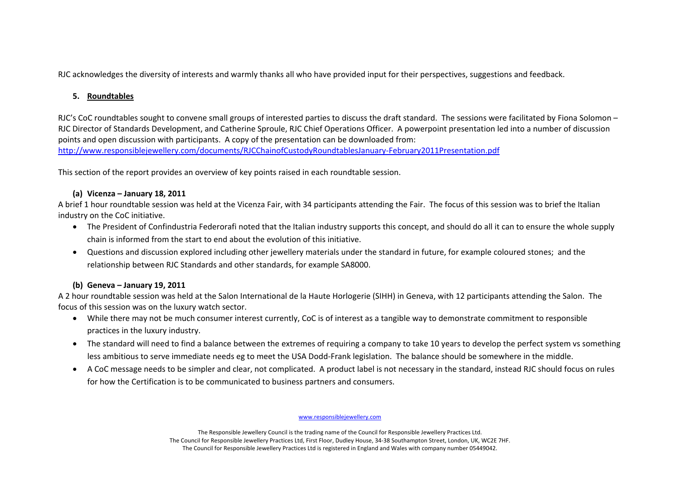RJC acknowledges the diversity of interests and warmly thanks all who have provided input for their perspectives, suggestions and feedback.

# **5. Roundtables**

RJC's CoC roundtables sought to convene small groups of interested parties to discuss the draft standard. The sessions were facilitated by Fiona Solomon – RJC Director of Standards Development, and Catherine Sproule, RJC Chief Operations Officer. A powerpoint presentation led into <sup>a</sup> number of discussion points and open discussion with participants. A copy of the presentation can be downloaded from: [http://www.responsiblejewellery.com/documents/RJCChainofCustodyRoundtablesJanuary](http://www.responsiblejewellery.com/documents/RJCChainofCustodyRoundtablesJanuary-February2011Presentation.pdf)‐February2011Presentation.pdf

This section of the report provides an overview of key points raised in each roundtable session.

# **(a) Vicenza – January 18, 2011**

A brief 1 hour roundtable session was held at the Vicenza Fair, with 34 participants attending the Fair. The focus of this session was to brief the Italian industry on the CoC initiative.

- The President of Confindustria Federorafi noted that the Italian industry supports this concept, and should do all it can to ensure the whole supply chain is informed from the start to end about the evolution of this initiative.
- • Questions and discussion explored including other jewellery materials under the standard in future, for example coloured stones; and the relationship between RJC Standards and other standards, for example SA8000.

# **(b) Geneva – January 19, 2011**

A 2 hour roundtable session was held at the Salon International de la Haute Horlogerie (SIHH) in Geneva, with 12 participants attending the Salon. The focus of this session was on the luxury watch sector.

- While there may not be much consumer interest currently, CoC is of interest as <sup>a</sup> tangible way to demonstrate commitment to responsible practices in the luxury industry.
- The standard will need to find <sup>a</sup> balance between the extremes of requiring <sup>a</sup> company to take 10 years to develop the perfect system vs something less ambitious to serve immediate needs eg to meet the USA Dodd‐Frank legislation. The balance should be somewhere in the middle.
- A CoC message needs to be simpler and clear, not complicated. A product label is not necessary in the standard, instead RJC should focus on rules for how the Certification is to be communicated to business partners and consumers.

### www.responsiblejewellery.com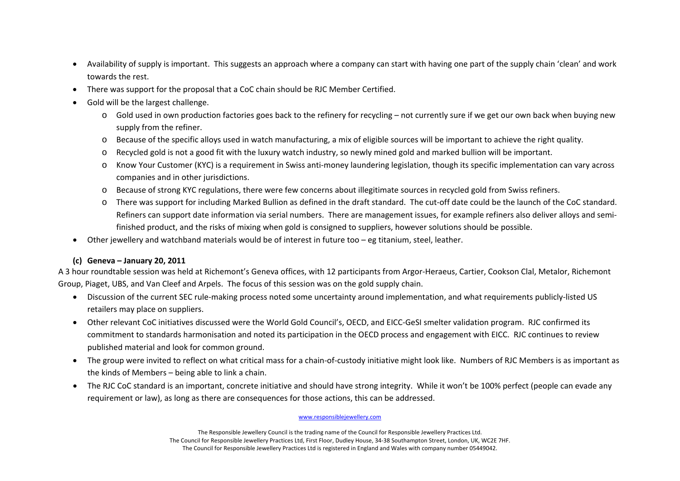- • Availability of supply is important. This suggests an approach where <sup>a</sup> company can start with having one part of the supply chain 'clean' and work towards the rest.
- •There was support for the proposal that <sup>a</sup> CoC chain should be RJC Member Certified.
- • Gold will be the largest challenge.
	- o Gold used in own production factories goes back to the refinery for recycling not currently sure if we get our own back when buying new supply from the refiner.
	- o Because of the specific alloys used in watch manufacturing, <sup>a</sup> mix of eligible sources will be important to achieve the right quality.
	- o Recycled gold is not <sup>a</sup> good fit with the luxury watch industry, so newly mined gold and marked bullion will be important.
	- o Know Your Customer (KYC) is <sup>a</sup> requirement in Swiss anti‐money laundering legislation, though its specific implementation can vary across companies and in other jurisdictions.
	- o Because of strong KYC regulations, there were few concerns about illegitimate sources in recycled gold from Swiss refiners.
	- o There was support for including Marked Bullion as defined in the draft standard. The cut‐off date could be the launch of the CoC standard. Refiners can support date information via serial numbers. There are management issues, for example refiners also deliver alloys and semi‐ finished product, and the risks of mixing when gold is consigned to suppliers, however solutions should be possible.
- •Other jewellery and watchband materials would be of interest in future too – eg titanium, steel, leather.

# **(c) Geneva – January 20, 2011**

A 3 hour roundtable session was held at Richemont's Geneva offices, with 12 participants from Argor‐Heraeus, Cartier, Cookson Clal, Metalor, Richemont Group, Piaget, UBS, and Van Cleef and Arpels. The focus of this session was on the gold supply chain.

- •● Discussion of the current SEC rule-making process noted some uncertainty around implementation, and what requirements publicly-listed US retailers may place on suppliers.
- •● Other relevant CoC initiatives discussed were the World Gold Council's, OECD, and EICC-GeSI smelter validation program. RJC confirmed its commitment to standards harmonisation and noted its participation in the OECD process and engagement with EICC. RJC continues to review published material and look for common ground.
- •● The group were invited to reflect on what critical mass for a chain-of-custody initiative might look like. Numbers of RJC Members is as important as the kinds of Members – being able to link <sup>a</sup> chain.
- $\bullet$  The RJC CoC standard is an important, concrete initiative and should have strong integrity. While it won't be 100% perfect (people can evade any requirement or law), as long as there are consequences for those actions, this can be addressed.

### www.responsiblejewellery.com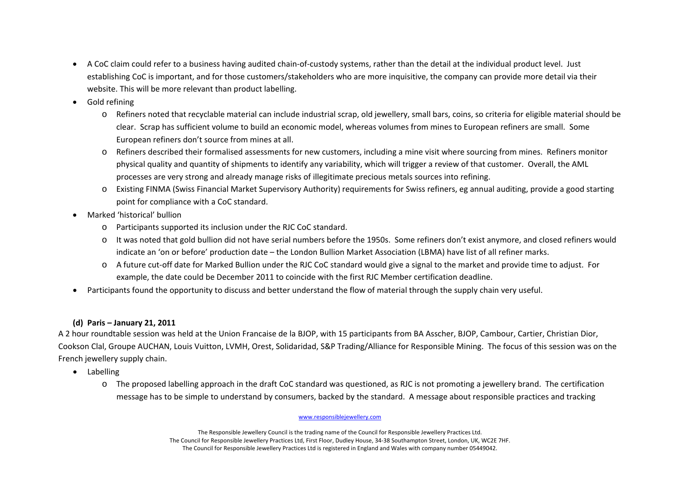- A CoC claim could refer to <sup>a</sup> business having audited chain‐of‐custody systems, rather than the detail at the individual product level. Just establishing CoC is important, and for those customers/stakeholders who are more inquisitive, the company can provide more detail via their website. This will be more relevant than product labelling.
- •• Gold refining
	- o Refiners noted that recyclable material can include industrial scrap, old jewellery, small bars, coins, so criteria for eligible material should be clear. Scrap has sufficient volume to build an economic model, whereas volumes from mines to European refiners are small. Some European refiners don't source from mines at all.
	- o Refiners described their formalised assessments for new customers, including <sup>a</sup> mine visit where sourcing from mines. Refiners monitor physical quality and quantity of shipments to identify any variability, which will trigger <sup>a</sup> review of that customer. Overall, the AML processes are very strong and already manage risks of illegitimate precious metals sources into refining.
	- o Existing FINMA (Swiss Financial Market Supervisory Authority) requirements for Swiss refiners, eg annual auditing, provide <sup>a</sup> good starting point for compliance with <sup>a</sup> CoC standard.
- • Marked 'historical' bullion
	- o Participants supported its inclusion under the RJC CoC standard.
	- o It was noted that gold bullion did not have serial numbers before the 1950s. Some refiners don't exist anymore, and closed refiners would indicate an 'on or before' production date – the London Bullion Market Association (LBMA) have list of all refiner marks.
	- o A future cut‐off date for Marked Bullion under the RJC CoC standard would give <sup>a</sup> signal to the market and provide time to adjust. For example, the date could be December 2011 to coincide with the first RJC Member certification deadline.
- •Participants found the opportunity to discuss and better understand the flow of material through the supply chain very useful.

# **(d) Paris – January 21, 2011**

A 2 hour roundtable session was held at the Union Francaise de la BJOP, with 15 participants from BA Asscher, BJOP, Cambour, Cartier, Christian Dior, Cookson Clal, Groupe AUCHAN, Louis Vuitton, LVMH, Orest, Solidaridad, S&P Trading/Alliance for Responsible Mining. The focus of this session was on the French jewellery supply chain.

- Labelling
	- o The proposed labelling approach in the draft CoC standard was questioned, as RJC is not promoting <sup>a</sup> jewellery brand. The certification message has to be simple to understand by consumers, backed by the standard. A message about responsible practices and tracking

## www.responsiblejewellery.com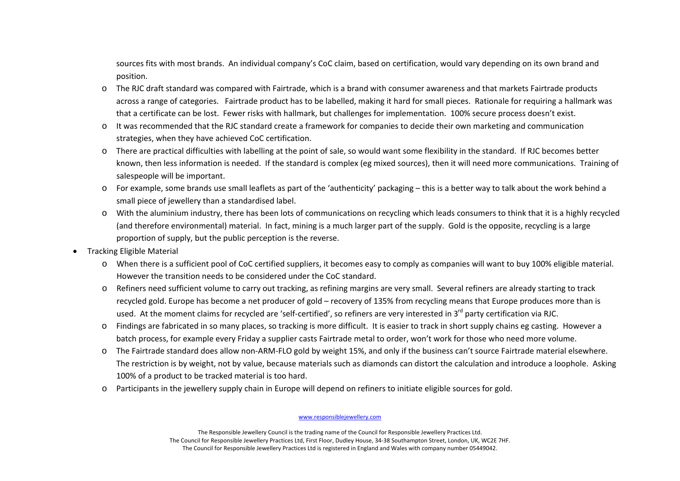sources fits with most brands. An individual company's CoC claim, based on certification, would vary depending on its own brand and position.

- o The RJC draft standard was compared with Fairtrade, which is <sup>a</sup> brand with consumer awareness and that markets Fairtrade products across a range of categories. Fairtrade product has to be labelled, making it hard for small pieces. Rationale for requiring <sup>a</sup> hallmark was that a certificate can be lost. Fewer risks with hallmark, but challenges for implementation. 100% secure process doesn't exist.
- o It was recommended that the RJC standard create <sup>a</sup> framework for companies to decide their own marketing and communication strategies, when they have achieved CoC certification.
- o There are practical difficulties with labelling at the point of sale, so would want some flexibility in the standard. If RJC becomes better known, then less information is needed. If the standard is complex (eg mixed sources), then it will need more communications. Training of salespeople will be important.
- o For example, some brands use small leaflets as part of the 'authenticity' packaging this is <sup>a</sup> better way to talk about the work behind <sup>a</sup> small piece of jewellery than <sup>a</sup> standardised label.
- o With the aluminium industry, there has been lots of communications on recycling which leads consumers to think that it is <sup>a</sup> highly recycled (and therefore environmental) material. In fact, mining is <sup>a</sup> much larger part of the supply. Gold is the opposite, recycling is <sup>a</sup> large proportion of supply, but the public perception is the reverse.
- • Tracking Eligible Material
	- o When there is <sup>a</sup> sufficient pool of CoC certified suppliers, it becomes easy to comply as companies will want to buy 100% eligible material. However the transition needs to be considered under the CoC standard.
	- o Refiners need sufficient volume to carry out tracking, as refining margins are very small. Several refiners are already starting to track recycled gold. Europe has become <sup>a</sup> net producer of gold – recovery of 135% from recycling means that Europe produces more than is used. At the moment claims for recycled are 'self-certified', so refiners are very interested in 3<sup>rd</sup> party certification via RJC.
	- o Findings are fabricated in so many places, so tracking is more difficult. It is easier to track in short supply chains eg casting. However <sup>a</sup> batch process, for example every Friday <sup>a</sup> supplier casts Fairtrade metal to order, won't work for those who need more volume.
	- o The Fairtrade standard does allow non‐ARM‐FLO gold by weight 15%, and only if the business can't source Fairtrade material elsewhere. The restriction is by weight, not by value, because materials such as diamonds can distort the calculation and introduce <sup>a</sup> loophole. Asking 100% of <sup>a</sup> product to be tracked material is too hard.
	- o Participants in the jewellery supply chain in Europe will depend on refiners to initiate eligible sources for gold.

#### www.responsiblejewellery.com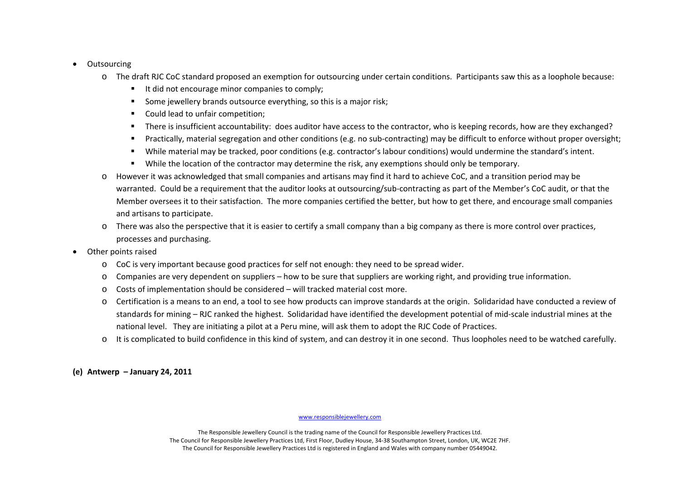#### •**Outsourcing**

- o The draft RJC CoC standard proposed an exemption for outsourcing under certain conditions. Participants saw this as <sup>a</sup> loophole because:
	- It did not encourage minor companies to comply;
	- $\blacksquare$ **Some jewellery brands outsource everything, so this is a major risk;**
	- $\blacksquare$ **Could lead to unfair competition;**
	- Е There is insufficient accountability: does auditor have access to the contractor, who is keeping records, how are they exchanged?
	- $\blacksquare$ Practically, material segregation and other conditions (e.g. no sub‐contracting) may be difficult to enforce without proper oversight;
	- $\blacksquare$ While material may be tracked, poor conditions (e.g. contractor's labour conditions) would undermine the standard's intent.
	- $\blacksquare$ While the location of the contractor may determine the risk, any exemptions should only be temporary.
- o However it was acknowledged that small companies and artisans may find it hard to achieve CoC, and <sup>a</sup> transition period may be warranted. Could be <sup>a</sup> requirement that the auditor looks at outsourcing/sub‐contracting as part of the Member's CoC audit, or that the Member oversees it to their satisfaction. The more companies certified the better, but how to get there, and encourage small companies and artisans to participate.
- o There was also the perspective that it is easier to certify <sup>a</sup> small company than <sup>a</sup> big company as there is more control over practices, processes and purchasing.
- • Other points raised
	- o CoC is very important because good practices for self not enough: they need to be spread wider.
	- o Companies are very dependent on suppliers how to be sure that suppliers are working right, and providing true information.
	- o Costs of implementation should be considered will tracked material cost more.
	- o Certification is <sup>a</sup> means to an end, <sup>a</sup> tool to see how products can improve standards at the origin. Solidaridad have conducted <sup>a</sup> review of standards for mining – RJC ranked the highest. Solidaridad have identified the development potential of mid‐scale industrial mines at the national level. They are initiating <sup>a</sup> pilot at <sup>a</sup> Peru mine, will ask them to adopt the RJC Code of Practices.
	- o It is complicated to build confidence in this kind of system, and can destroy it in one second. Thus loopholes need to be watched carefully.

**(e) Antwerp – January 24, 2011**

#### www.responsiblejewellery.com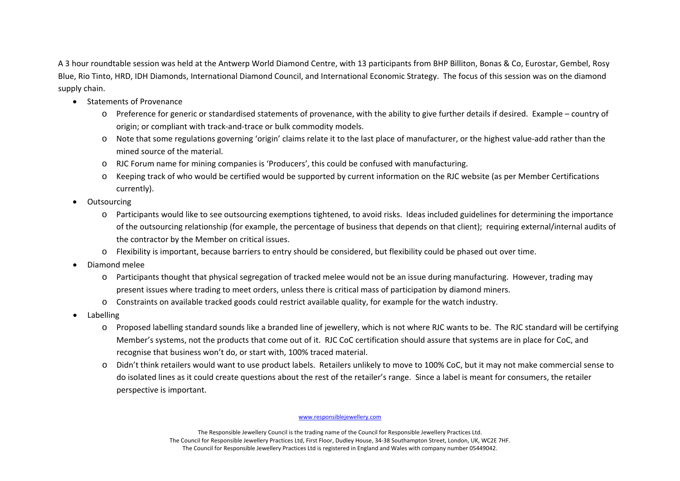A 3 hour roundtable session was held at the Antwerp World Diamond Centre, with 13 participants from BHP Billiton, Bonas & Co, Eurostar, Gembel, Rosy Blue, Rio Tinto, HRD, IDH Diamonds, International Diamond Council, and International Economic Strategy. The focus of this session was on the diamond supply chain.

- Statements of Provenance
	- o Preference for generic or standardised statements of provenance, with the ability to give further details if desired. Example country of origin; or compliant with track‐and‐trace or bulk commodity models.
	- o Note that some regulations governing 'origin' claims relate it to the last place of manufacturer, or the highest value‐add rather than the mined source of the material.
	- o RJC Forum name for mining companies is 'Producers', this could be confused with manufacturing.
	- o Keeping track of who would be certified would be supported by current information on the RJC website (as per Member Certifications currently).
- •**Outsourcing** 
	- o Participants would like to see outsourcing exemptions tightened, to avoid risks. Ideas included guidelines for determining the importance of the outsourcing relationship (for example, the percentage of business that depends on that client); requiring external/internal audits of the contractor by the Member on critical issues.
	- o Flexibility is important, because barriers to entry should be considered, but flexibility could be phased out over time.
- • Diamond melee
	- o Participants thought that physical segregation of tracked melee would not be an issue during manufacturing. However, trading may present issues where trading to meet orders, unless there is critical mass of participation by diamond miners.
	- o Constraints on available tracked goods could restrict available quality, for example for the watch industry.
- • Labelling
	- o Proposed labelling standard sounds like <sup>a</sup> branded line of jewellery, which is not where RJC wants to be. The RJC standard will be certifying Member's systems, not the products that come out of it. RJC CoC certification should assure that systems are in place for CoC, and recognise that business won't do, or start with, 100% traced material.
	- o Didn't think retailers would want to use product labels. Retailers unlikely to move to 100% CoC, but it may not make commercial sense to do isolated lines as it could create questions about the rest of the retailer's range. Since <sup>a</sup> label is meant for consumers, the retailer perspective is important.

### www.responsiblejewellery.com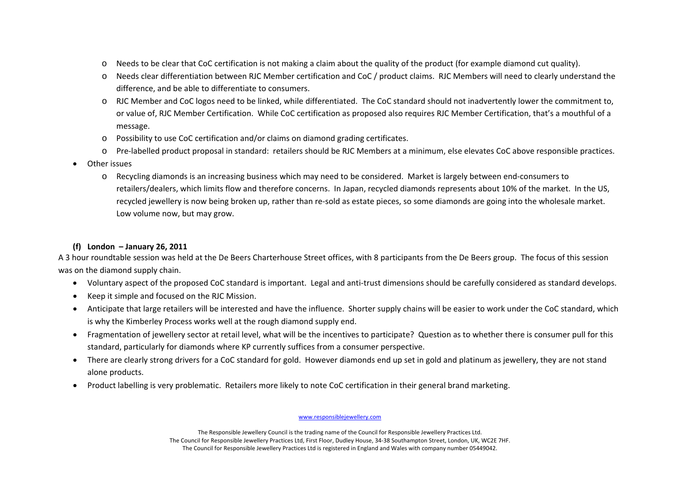- oNeeds to be clear that CoC certification is not making <sup>a</sup> claim about the quality of the product (for example diamond cut quality).
- o Needs clear differentiation between RJC Member certification and CoC / product claims. RJC Members will need to clearly understand the difference, and be able to differentiate to consumers.
- o RJC Member and CoC logos need to be linked, while differentiated. The CoC standard should not inadvertently lower the commitment to, or value of, RJC Member Certification. While CoC certification as proposed also requires RJC Member Certification, that's <sup>a</sup> mouthful of <sup>a</sup> message.
- o Possibility to use CoC certification and/or claims on diamond grading certificates.
- o Pre‐labelled product proposal in standard: retailers should be RJC Members at <sup>a</sup> minimum, else elevates CoC above responsible practices.
- • Other issues
	- o Recycling diamonds is an increasing business which may need to be considered. Market is largely between end‐consumers to retailers/dealers, which limits flow and therefore concerns. In Japan, recycled diamonds represents about 10% of the market. In the US, recycled jewellery is now being broken up, rather than re‐sold as estate pieces, so some diamonds are going into the wholesale market. Low volume now, but may grow.

# **(f) London – January 26, 2011**

A 3 hour roundtable session was held at the De Beers Charterhouse Street offices, with 8 participants from the De Beers group. The focus of this session was on the diamond supply chain.

- •Voluntary aspect of the proposed CoC standard is important. Legal and anti‐trust dimensions should be carefully considered as standard develops.
- •Keep it simple and focused on the RJC Mission.
- • Anticipate that large retailers will be interested and have the influence. Shorter supply chains will be easier to work under the CoC standard, which is why the Kimberley Process works well at the rough diamond supply end.
- • Fragmentation of jewellery sector at retail level, what will be the incentives to participate? Question as to whether there is consumer pull for this standard, particularly for diamonds where KP currently suffices from <sup>a</sup> consumer perspective.
- • There are clearly strong drivers for <sup>a</sup> CoC standard for gold. However diamonds end up set in gold and platinum as jewellery, they are not stand alone products.
- •Product labelling is very problematic. Retailers more likely to note CoC certification in their general brand marketing.

### www.responsiblejewellery.com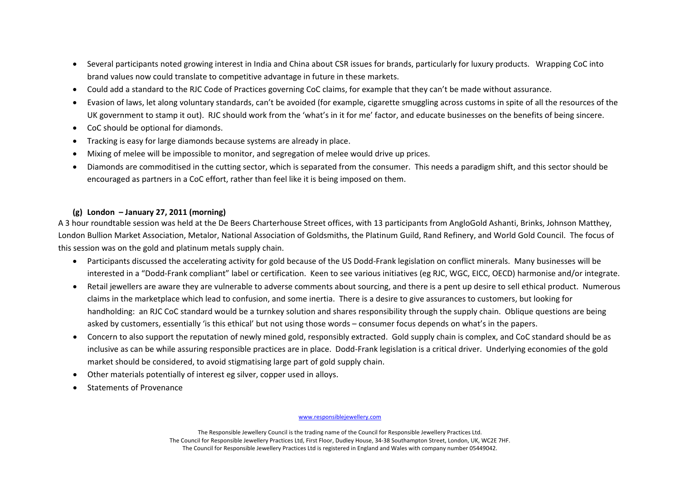- • Several participants noted growing interest in India and China about CSR issues for brands, particularly for luxury products. Wrapping CoC into brand values now could translate to competitive advantage in future in these markets.
- Could add <sup>a</sup> standard to the RJC Code of Practices governing CoC claims, for example that they can't be made without assurance.
- • Evasion of laws, let along voluntary standards, can't be avoided (for example, cigarette smuggling across customs in spite of all the resources of the UK government to stamp it out). RJC should work from the 'what's in it for me' factor, and educate businesses on the benefits of being sincere.
- CoC should be optional for diamonds.
- Tracking is easy for large diamonds because systems are already in place.
- •Mixing of melee will be impossible to monitor, and segregation of melee would drive up prices.
- • Diamonds are commoditised in the cutting sector, which is separated from the consumer. This needs <sup>a</sup> paradigm shift, and this sector should be encouraged as partners in <sup>a</sup> CoC effort, rather than feel like it is being imposed on them.

## **(g) London – January 27, 2011 (morning)**

A 3 hour roundtable session was held at the De Beers Charterhouse Street offices, with 13 participants from AngloGold Ashanti, Brinks, Johnson Matthey, London Bullion Market Association, Metalor, National Association of Goldsmiths, the Platinum Guild, Rand Refinery, and World Gold Council. The focus of this session was on the gold and platinum metals supply chain.

- • Participants discussed the accelerating activity for gold because of the US Dodd‐Frank legislation on conflict minerals. Many businesses will be interested in <sup>a</sup> "Dodd‐Frank compliant" label or certification. Keen to see various initiatives (eg RJC, WGC, EICC, OECD) harmonise and/or integrate.
- • Retail jewellers are aware they are vulnerable to adverse comments about sourcing, and there is <sup>a</sup> pent up desire to sell ethical product. Numerous claims in the marketplace which lead to confusion, and some inertia. There is <sup>a</sup> desire to give assurances to customers, but looking for handholding: an RJC CoC standard would be <sup>a</sup> turnkey solution and shares responsibility through the supply chain. Oblique questions are being asked by customers, essentially 'is this ethical' but not using those words – consumer focus depends on what's in the papers.
- $\bullet$  Concern to also support the reputation of newly mined gold, responsibly extracted. Gold supply chain is complex, and CoC standard should be as inclusive as can be while assuring responsible practices are in place. Dodd‐Frank legislation is <sup>a</sup> critical driver. Underlying economies of the gold market should be considered, to avoid stigmatising large part of gold supply chain.
- •Other materials potentially of interest eg silver, copper used in alloys.
- •Statements of Provenance

### www.responsiblejewellery.com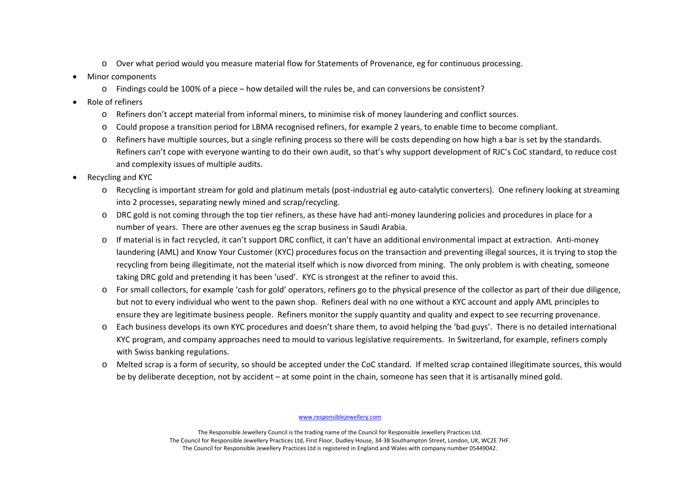- o Over what period would you measure material flow for Statements of Provenance, eg for continuous processing.
- • Minor components
	- o Findings could be 100% of <sup>a</sup> piece how detailed will the rules be, and can conversions be consistent?
- •• Role of refiners
	- o Refiners don't accept material from informal miners, to minimise risk of money laundering and conflict sources.
	- o Could propose <sup>a</sup> transition period for LBMA recognised refiners, for example 2 years, to enable time to become compliant.
	- o Refiners have multiple sources, but <sup>a</sup> single refining process so there will be costs depending on how high <sup>a</sup> bar is set by the standards. Refiners can't cope with everyone wanting to do their own audit, so that's why support development of RJC's CoC standard, to reduce cost and complexity issues of multiple audits.
- • Recycling and KYC
	- o Recycling is important stream for gold and platinum metals (post‐industrial eg auto‐catalytic converters). One refinery looking at streaming into 2 processes, separating newly mined and scrap/recycling.
	- o DRC gold is not coming through the top tier refiners, as these have had anti‐money laundering policies and procedures in place for <sup>a</sup> number of years. There are other avenues eg the scrap business in Saudi Arabia.
	- o If material is in fact recycled, it can't support DRC conflict, it can't have an additional environmental impact at extraction. Anti‐money laundering (AML) and Know Your Customer (KYC) procedures focus on the transaction and preventing illegal sources, it is trying to stop the recycling from being illegitimate, not the material itself which is now divorced from mining. The only problem is with cheating, someone taking DRC gold and pretending it has been 'used'. KYC is strongest at the refiner to avoid this.
	- o For small collectors, for example 'cash for gold' operators, refiners go to the physical presence of the collector as part of their due diligence, but not to every individual who went to the pawn shop. Refiners deal with no one without <sup>a</sup> KYC account and apply AML principles to ensure they are legitimate business people. Refiners monitor the supply quantity and quality and expect to see recurring provenance.
	- o Each business develops its own KYC procedures and doesn't share them, to avoid helping the 'bad guys'. There is no detailed international KYC program, and company approaches need to mould to various legislative requirements. In Switzerland, for example, refiners comply with Swiss banking regulations.
	- o Melted scrap is <sup>a</sup> form of security, so should be accepted under the CoC standard. If melted scrap contained illegitimate sources, this would be by deliberate deception, not by accident – at some point in the chain, someone has seen that it is artisanally mined gold.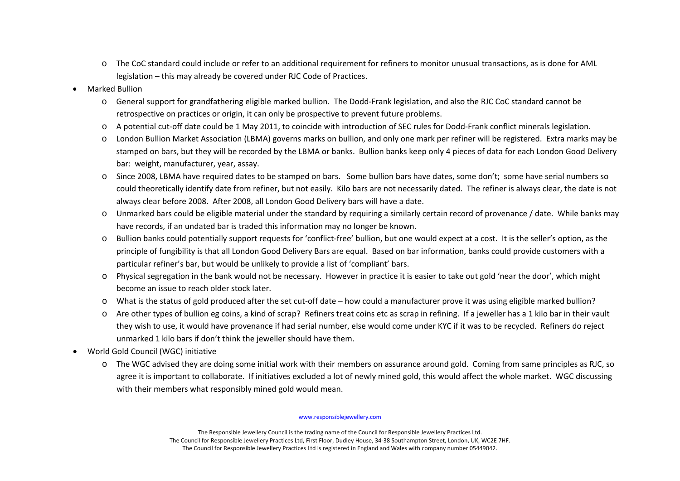- o The CoC standard could include or refer to an additional requirement for refiners to monitor unusual transactions, as is done for AML legislation – this may already be covered under RJC Code of Practices.
- • Marked Bullion
	- o General support for grandfathering eligible marked bullion. The Dodd‐Frank legislation, and also the RJC CoC standard cannot be retrospective on practices or origin, it can only be prospective to prevent future problems.
	- o A potential cut‐off date could be 1 May 2011, to coincide with introduction of SEC rules for Dodd‐Frank conflict minerals legislation.
	- o London Bullion Market Association (LBMA) governs marks on bullion, and only one mark per refiner will be registered. Extra marks may be stamped on bars, but they will be recorded by the LBMA or banks. Bullion banks keep only 4 pieces of data for each London Good Delivery bar: weight, manufacturer, year, assay.
	- o Since 2008, LBMA have required dates to be stamped on bars. Some bullion bars have dates, some don't; some have serial numbers so could theoretically identify date from refiner, but not easily. Kilo bars are not necessarily dated. The refiner is always clear, the date is not always clear before 2008. After 2008, all London Good Delivery bars will have <sup>a</sup> date.
	- o Unmarked bars could be eligible material under the standard by requiring <sup>a</sup> similarly certain record of provenance / date. While banks may have records, if an undated bar is traded this information may no longer be known.
	- o Bullion banks could potentially support requests for 'conflict‐free' bullion, but one would expect at <sup>a</sup> cost. It is the seller's option, as the principle of fungibility is that all London Good Delivery Bars are equal. Based on bar information, banks could provide customers with <sup>a</sup> particular refiner's bar, but would be unlikely to provide <sup>a</sup> list of 'compliant' bars.
	- o Physical segregation in the bank would not be necessary. However in practice it is easier to take out gold 'near the door', which might become an issue to reach older stock later.
	- o What is the status of gold produced after the set cut‐off date how could <sup>a</sup> manufacturer prove it was using eligible marked bullion?
	- o Are other types of bullion eg coins, <sup>a</sup> kind of scrap? Refiners treat coins etc as scrap in refining. If <sup>a</sup> jeweller has <sup>a</sup> 1 kilo bar in their vault they wish to use, it would have provenance if had serial number, else would come under KYC if it was to be recycled. Refiners do reject unmarked 1 kilo bars if don't think the jeweller should have them.
- • World Gold Council (WGC) initiative
	- o The WGC advised they are doing some initial work with their members on assurance around gold. Coming from same principles as RJC, so agree it is important to collaborate. If initiatives excluded <sup>a</sup> lot of newly mined gold, this would affect the whole market. WGC discussing with their members what responsibly mined gold would mean.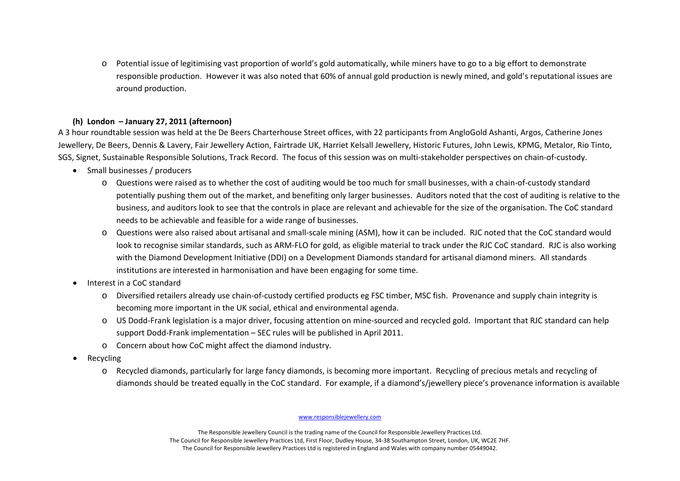o Potential issue of legitimising vast proportion of world's gold automatically, while miners have to go to <sup>a</sup> big effort to demonstrate responsible production. However it was also noted that 60% of annual gold production is newly mined, and gold's reputational issues are around production.

# **(h) London – January 27, 2011 (afternoon)**

A 3 hour roundtable session was held at the De Beers Charterhouse Street offices, with 22 participants from AngloGold Ashanti, Argos, Catherine Jones Jewellery, De Beers, Dennis & Lavery, Fair Jewellery Action, Fairtrade UK, Harriet Kelsall Jewellery, Historic Futures, John Lewis, KPMG, Metalor, Rio Tinto, SGS, Signet, Sustainable Responsible Solutions, Track Record. The focus of this session was on multi‐stakeholder perspectives on chain‐of‐custody.

- Small businesses / producers
	- o Questions were raised as to whether the cost of auditing would be too much for small businesses, with <sup>a</sup> chain‐of‐custody standard potentially pushing them out of the market, and benefiting only larger businesses. Auditors noted that the cost of auditing is relative to the business, and auditors look to see that the controls in place are relevant and achievable for the size of the organisation. The CoC standard needs to be achievable and feasible for <sup>a</sup> wide range of businesses.
	- o Questions were also raised about artisanal and small‐scale mining (ASM), how it can be included. RJC noted that the CoC standard would look to recognise similar standards, such as ARM‐FLO for gold, as eligible material to track under the RJC CoC standard. RJC is also working with the Diamond Development Initiative (DDI) on <sup>a</sup> Development Diamonds standard for artisanal diamond miners. All standards institutions are interested in harmonisation and have been engaging for some time.
- •• Interest in a CoC standard
	- o Diversified retailers already use chain‐of‐custody certified products eg FSC timber, MSC fish. Provenance and supply chain integrity is becoming more important in the UK social, ethical and environmental agenda.
	- o US Dodd‐Frank legislation is <sup>a</sup> major driver, focusing attention on mine‐sourced and recycled gold. Important that RJC standard can help support Dodd‐Frank implementation – SEC rules will be published in April 2011.
	- o Concern about how CoC might affect the diamond industry.
- • Recycling
	- o Recycled diamonds, particularly for large fancy diamonds, is becoming more important. Recycling of precious metals and recycling of diamonds should be treated equally in the CoC standard. For example, if <sup>a</sup> diamond's/jewellery piece's provenance information is available

### www.responsiblejewellery.com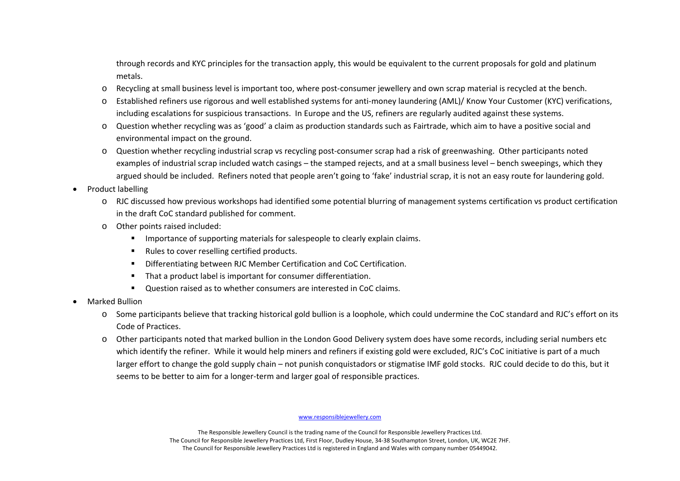through records and KYC principles for the transaction apply, this would be equivalent to the current proposals for gold and platinum metals.

- oRecycling at small business level is important too, where post-consumer jewellery and own scrap material is recycled at the bench.
- o Established refiners use rigorous and well established systems for anti‐money laundering (AML)/ Know Your Customer (KYC) verifications, including escalations for suspicious transactions. In Europe and the US, refiners are regularly audited against these systems.
- o Question whether recycling was as 'good' <sup>a</sup> claim as production standards such as Fairtrade, which aim to have <sup>a</sup> positive social and environmental impact on the ground.
- o Question whether recycling industrial scrap vs recycling post‐consumer scrap had <sup>a</sup> risk of greenwashing. Other participants noted examples of industrial scrap included watch casings – the stamped rejects, and at <sup>a</sup> small business level – bench sweepings, which they argued should be included. Refiners noted that people aren't going to 'fake' industrial scrap, it is not an easy route for laundering gold.

•Product labelling

- o RJC discussed how previous workshops had identified some potential blurring of management systems certification vs product certification in the draft CoC standard published for comment.
- o Other points raised included:
	- $\blacksquare$ Importance of supporting materials for salespeople to clearly explain claims.
	- П ■ Rules to cover reselling certified products.
	- п Differentiating between RJC Member Certification and CoC Certification.
	- $\blacksquare$ **That a product label is important for consumer differentiation.**
	- $\blacksquare$ Question raised as to whether consumers are interested in CoC claims.
- • Marked Bullion
	- o Some participants believe that tracking historical gold bullion is <sup>a</sup> loophole, which could undermine the CoC standard and RJC's effort on its Code of Practices.
	- o Other participants noted that marked bullion in the London Good Delivery system does have some records, including serial numbers etc which identify the refiner. While it would help miners and refiners if existing gold were excluded, RJC's CoC initiative is part of <sup>a</sup> much larger effort to change the gold supply chain – not punish conquistadors or stigmatise IMF gold stocks. RJC could decide to do this, but it seems to be better to aim for <sup>a</sup> longer‐term and larger goal of responsible practices.

### www.responsiblejewellery.com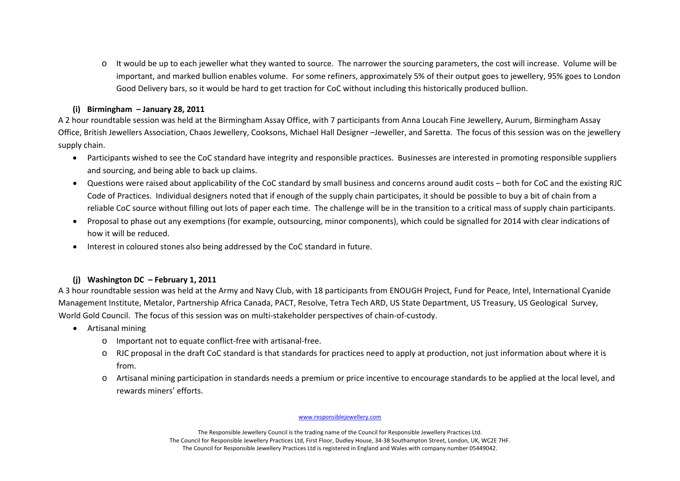o It would be up to each jeweller what they wanted to source. The narrower the sourcing parameters, the cost will increase. Volume will be important, and marked bullion enables volume. For some refiners, approximately 5% of their output goes to jewellery, 95% goes to London Good Delivery bars, so it would be hard to get traction for CoC without including this historically produced bullion.

## **(i) Birmingham – January 28, 2011**

A 2 hour roundtable session was held at the Birmingham Assay Office, with 7 participants from Anna Loucah Fine Jewellery, Aurum, Birmingham Assay Office, British Jewellers Association, Chaos Jewellery, Cooksons, Michael Hall Designer –Jeweller, and Saretta. The focus of this session was on the jewellery supply chain.

- $\bullet$  Participants wished to see the CoC standard have integrity and responsible practices. Businesses are interested in promoting responsible suppliers and sourcing, and being able to back up claims.
- $\bullet$  Questions were raised about applicability of the CoC standard by small business and concerns around audit costs – both for CoC and the existing RJC Code of Practices. Individual designers noted that if enough of the supply chain participates, it should be possible to buy <sup>a</sup> bit of chain from <sup>a</sup> reliable CoC source without filling out lots of paper each time. The challenge will be in the transition to <sup>a</sup> critical mass of supply chain participants.
- • Proposal to phase out any exemptions (for example, outsourcing, minor components), which could be signalled for 2014 with clear indications of how it will be reduced.
- •• Interest in coloured stones also being addressed by the CoC standard in future.

# **(j) Washington DC – February 1, 2011**

A 3 hour roundtable session was held at the Army and Navy Club, with 18 participants from ENOUGH Project, Fund for Peace, Intel, International Cyanide Management Institute, Metalor, Partnership Africa Canada, PACT, Resolve, Tetra Tech ARD, US State Department, US Treasury, US Geological Survey, World Gold Council. The focus of this session was on multi‐stakeholder perspectives of chain‐of‐custody.

- Artisanal mining
	- o Important not to equate conflict‐free with artisanal‐free.
	- o RJC proposal in the draft CoC standard is that standards for practices need to apply at production, not just information about where it is from.
	- o Artisanal mining participation in standards needs <sup>a</sup> premium or price incentive to encourage standards to be applied at the local level, and rewards miners' efforts.

### www.responsiblejewellery.com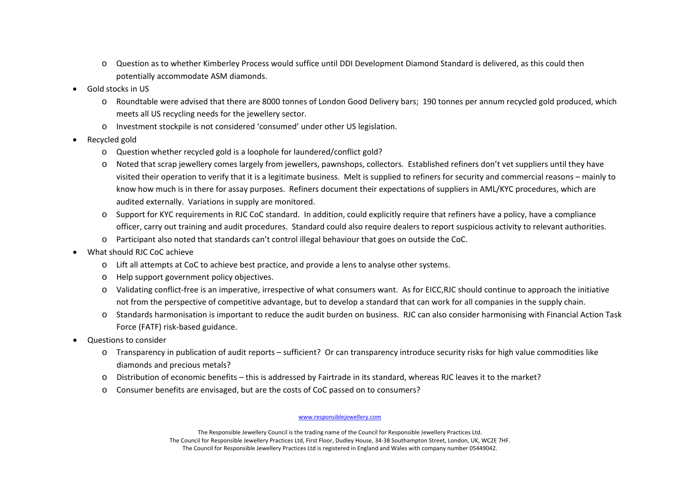- o Question as to whether Kimberley Process would suffice until DDI Development Diamond Standard is delivered, as this could then potentially accommodate ASM diamonds.
- •**•** Gold stocks in US
	- o Roundtable were advised that there are 8000 tonnes of London Good Delivery bars; 190 tonnes per annum recycled gold produced, which meets all US recycling needs for the jewellery sector.
	- o Investment stockpile is not considered 'consumed' under other US legislation.
- • Recycled gold
	- o Question whether recycled gold is <sup>a</sup> loophole for laundered/conflict gold?
	- o Noted that scrap jewellery comes largely from jewellers, pawnshops, collectors. Established refiners don't vet suppliers until they have visited their operation to verify that it is <sup>a</sup> legitimate business. Melt is supplied to refiners for security and commercial reasons – mainly to know how much is in there for assay purposes. Refiners document their expectations of suppliers in AML/KYC procedures, which are audited externally. Variations in supply are monitored.
	- o Support for KYC requirements in RJC CoC standard. In addition, could explicitly require that refiners have <sup>a</sup> policy, have <sup>a</sup> compliance officer, carry out training and audit procedures. Standard could also require dealers to report suspicious activity to relevant authorities.
	- o Participant also noted that standards can't control illegal behaviour that goes on outside the CoC.
- • What should RJC CoC achieve
	- o Lift all attempts at CoC to achieve best practice, and provide <sup>a</sup> lens to analyse other systems.
	- o Help support government policy objectives.
	- o Validating conflict‐free is an imperative, irrespective of what consumers want. As for EICC,RJC should continue to approach the initiative not from the perspective of competitive advantage, but to develop <sup>a</sup> standard that can work for all companies in the supply chain.
	- o Standards harmonisation is important to reduce the audit burden on business. RJC can also consider harmonising with Financial Action Task Force (FATF) risk‐based guidance.
- • Questions to consider
	- o Transparency in publication of audit reports sufficient? Or can transparency introduce security risks for high value commodities like diamonds and precious metals?
	- o Distribution of economic benefits this is addressed by Fairtrade in its standard, whereas RJC leaves it to the market?
	- oConsumer benefits are envisaged, but are the costs of CoC passed on to consumers?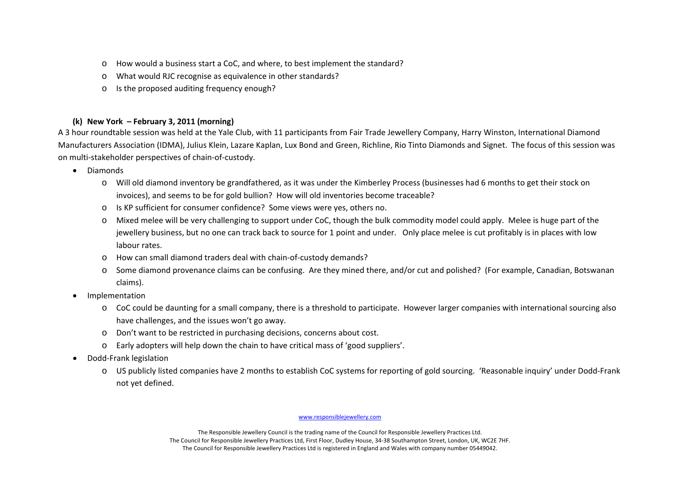- o How would <sup>a</sup> business start <sup>a</sup> CoC, and where, to best implement the standard?
- oWhat would RJC recognise as equivalence in other standards?
- oIs the proposed auditing frequency enough?

# **(k) New York – February 3, 2011 (morning)**

A 3 hour roundtable session was held at the Yale Club, with 11 participants from Fair Trade Jewellery Company, Harry Winston, International Diamond Manufacturers Association (IDMA), Julius Klein, Lazare Kaplan, Lux Bond and Green, Richline, Rio Tinto Diamonds and Signet. The focus of this session was on multi‐stakeholder perspectives of chain‐of‐custody.

- • Diamonds
	- o Will old diamond inventory be grandfathered, as it was under the Kimberley Process (businesses had 6 months to get their stock on invoices), and seems to be for gold bullion? How will old inventories become traceable?
	- o Is KP sufficient for consumer confidence? Some views were yes, others no.
	- o Mixed melee will be very challenging to support under CoC, though the bulk commodity model could apply. Melee is huge part of the jewellery business, but no one can track back to source for 1 point and under. Only place melee is cut profitably is in places with low labour rates.
	- o How can small diamond traders deal with chain‐of‐custody demands?
	- o Some diamond provenance claims can be confusing. Are they mined there, and/or cut and polished? (For example, Canadian, Botswanan claims).
- • Implementation
	- o CoC could be daunting for <sup>a</sup> small company, there is <sup>a</sup> threshold to participate. However larger companies with international sourcing also have challenges, and the issues won't go away.
	- o Don't want to be restricted in purchasing decisions, concerns about cost.
	- o Early adopters will help down the chain to have critical mass of 'good suppliers'.
- • Dodd‐Frank legislation
	- o US publicly listed companies have 2 months to establish CoC systems for reporting of gold sourcing. 'Reasonable inquiry' under Dodd‐Frank not yet defined.

### www.responsiblejewellery.com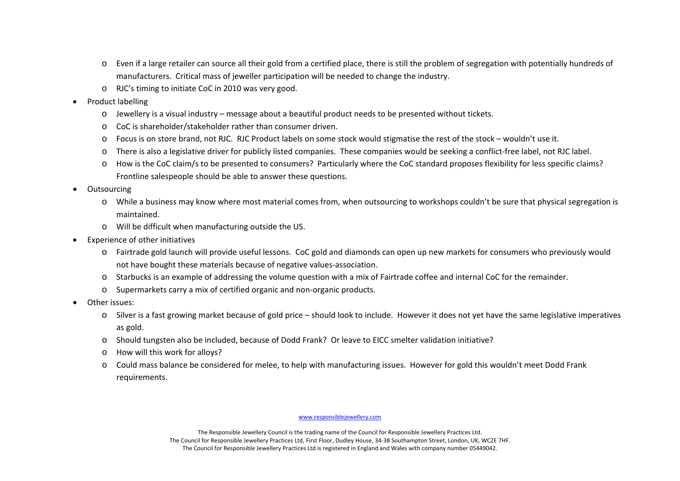- o Even if <sup>a</sup> large retailer can source all their gold from <sup>a</sup> certified place, there is still the problem of segregation with potentially hundreds of manufacturers. Critical mass of jeweller participation will be needed to change the industry.
- o RJC's timing to initiate CoC in 2010 was very good.
- • Product labelling
	- o Jewellery is <sup>a</sup> visual industry message about <sup>a</sup> beautiful product needs to be presented without tickets.
	- o CoC is shareholder/stakeholder rather than consumer driven.
	- o Focus is on store brand, not RJC. RJC Product labels on some stock would stigmatise the rest of the stock wouldn't use it.
	- o There is also <sup>a</sup> legislative driver for publicly listed companies. These companies would be seeking <sup>a</sup> conflict‐free label, not RJC label.
	- o How is the CoC claim/s to be presented to consumers? Particularly where the CoC standard proposes flexibility for less specific claims? Frontline salespeople should be able to answer these questions.
- •**Outsourcing** 
	- o While <sup>a</sup> business may know where most material comes from, when outsourcing to workshops couldn't be sure that physical segregation is maintained.
	- o Will be difficult when manufacturing outside the US.
- • Experience of other initiatives
	- o Fairtrade gold launch will provide useful lessons. CoC gold and diamonds can open up new markets for consumers who previously would not have bought these materials because of negative values‐association.
	- o Starbucks is an example of addressing the volume question with <sup>a</sup> mix of Fairtrade coffee and internal CoC for the remainder.
	- o Supermarkets carry <sup>a</sup> mix of certified organic and non‐organic products.
- • Other issues:
	- o Silver is <sup>a</sup> fast growing market because of gold price should look to include. However it does not yet have the same legislative imperatives as gold.
	- o Should tungsten also be included, because of Dodd Frank? Or leave to EICC smelter validation initiative?
	- o How will this work for alloys?
	- o Could mass balance be considered for melee, to help with manufacturing issues. However for gold this wouldn't meet Dodd Frank requirements.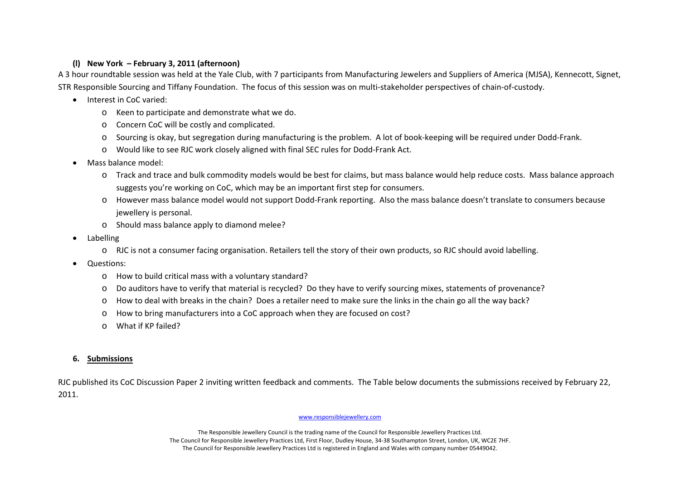# **(l) New York – February 3, 2011 (afternoon)**

A 3 hour roundtable session was held at the Yale Club, with 7 participants from Manufacturing Jewelers and Suppliers of America (MJSA), Kennecott, Signet, STR Responsible Sourcing and Tiffany Foundation. The focus of this session was on multi‐stakeholder perspectives of chain‐of‐custody.

- Interest in CoC varied:
	- o Keen to participate and demonstrate what we do.
	- o Concern CoC will be costly and complicated.
	- o Sourcing is okay, but segregation during manufacturing is the problem. A lot of book‐keeping will be required under Dodd‐Frank.
	- o Would like to see RJC work closely aligned with final SEC rules for Dodd‐Frank Act.
- • Mass balance model:
	- o Track and trace and bulk commodity models would be best for claims, but mass balance would help reduce costs. Mass balance approach suggests you're working on CoC, which may be an important first step for consumers.
	- o However mass balance model would not support Dodd‐Frank reporting. Also the mass balance doesn't translate to consumers because jewellery is personal.
	- o Should mass balance apply to diamond melee?
- • Labelling
	- o RJC is not <sup>a</sup> consumer facing organisation. Retailers tell the story of their own products, so RJC should avoid labelling.
- • Questions:
	- o How to build critical mass with <sup>a</sup> voluntary standard?
	- o Do auditors have to verify that material is recycled? Do they have to verify sourcing mixes, statements of provenance?
	- o How to deal with breaks in the chain? Does <sup>a</sup> retailer need to make sure the links in the chain go all the way back?
	- oHow to bring manufacturers into <sup>a</sup> CoC approach when they are focused on cost?
	- o What if KP failed?

#### **6.Submissions**

RJC published its CoC Discussion Paper 2 inviting written feedback and comments. The Table below documents the submissions received by February 22, 2011.

### www.responsiblejewellery.com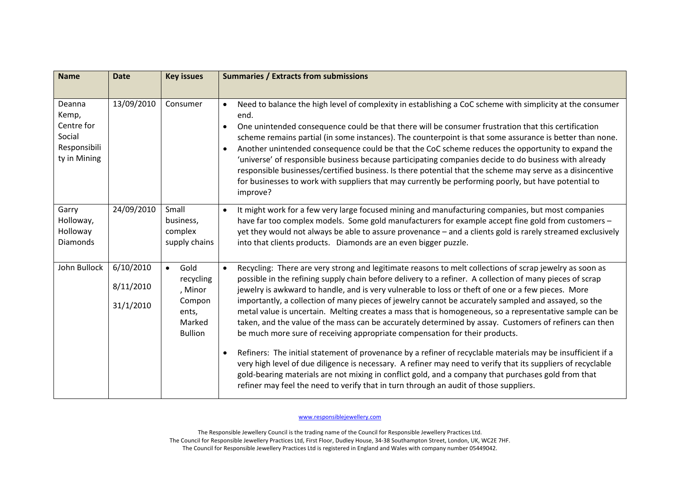| <b>Name</b>                                                             | <b>Date</b>                         | <b>Key issues</b>                                                                        | <b>Summaries / Extracts from submissions</b>                                                                                                                                                                                                                                                                                                                                                                                                                                                                                                                                                                                                                                                                                                                                                                               |
|-------------------------------------------------------------------------|-------------------------------------|------------------------------------------------------------------------------------------|----------------------------------------------------------------------------------------------------------------------------------------------------------------------------------------------------------------------------------------------------------------------------------------------------------------------------------------------------------------------------------------------------------------------------------------------------------------------------------------------------------------------------------------------------------------------------------------------------------------------------------------------------------------------------------------------------------------------------------------------------------------------------------------------------------------------------|
| Deanna<br>Kemp,<br>Centre for<br>Social<br>Responsibili<br>ty in Mining | 13/09/2010                          | Consumer                                                                                 | Need to balance the high level of complexity in establishing a CoC scheme with simplicity at the consumer<br>$\bullet$<br>end.<br>One unintended consequence could be that there will be consumer frustration that this certification<br>$\bullet$<br>scheme remains partial (in some instances). The counterpoint is that some assurance is better than none.<br>Another unintended consequence could be that the CoC scheme reduces the opportunity to expand the<br>$\bullet$<br>'universe' of responsible business because participating companies decide to do business with already<br>responsible businesses/certified business. Is there potential that the scheme may serve as a disincentive<br>for businesses to work with suppliers that may currently be performing poorly, but have potential to<br>improve? |
| Garry<br>Holloway,<br>Holloway<br><b>Diamonds</b>                       | 24/09/2010                          | Small<br>business,<br>complex<br>supply chains                                           | It might work for a few very large focused mining and manufacturing companies, but most companies<br>$\bullet$<br>have far too complex models. Some gold manufacturers for example accept fine gold from customers -<br>yet they would not always be able to assure provenance - and a clients gold is rarely streamed exclusively<br>into that clients products. Diamonds are an even bigger puzzle.                                                                                                                                                                                                                                                                                                                                                                                                                      |
| John Bullock                                                            | 6/10/2010<br>8/11/2010<br>31/1/2010 | Gold<br>$\bullet$<br>recycling<br>, Minor<br>Compon<br>ents,<br>Marked<br><b>Bullion</b> | Recycling: There are very strong and legitimate reasons to melt collections of scrap jewelry as soon as<br>$\bullet$<br>possible in the refining supply chain before delivery to a refiner. A collection of many pieces of scrap<br>jewelry is awkward to handle, and is very vulnerable to loss or theft of one or a few pieces. More<br>importantly, a collection of many pieces of jewelry cannot be accurately sampled and assayed, so the<br>metal value is uncertain. Melting creates a mass that is homogeneous, so a representative sample can be<br>taken, and the value of the mass can be accurately determined by assay. Customers of refiners can then<br>be much more sure of receiving appropriate compensation for their products.                                                                         |
|                                                                         |                                     |                                                                                          | Refiners: The initial statement of provenance by a refiner of recyclable materials may be insufficient if a<br>$\bullet$<br>very high level of due diligence is necessary. A refiner may need to verify that its suppliers of recyclable<br>gold-bearing materials are not mixing in conflict gold, and a company that purchases gold from that<br>refiner may feel the need to verify that in turn through an audit of those suppliers.                                                                                                                                                                                                                                                                                                                                                                                   |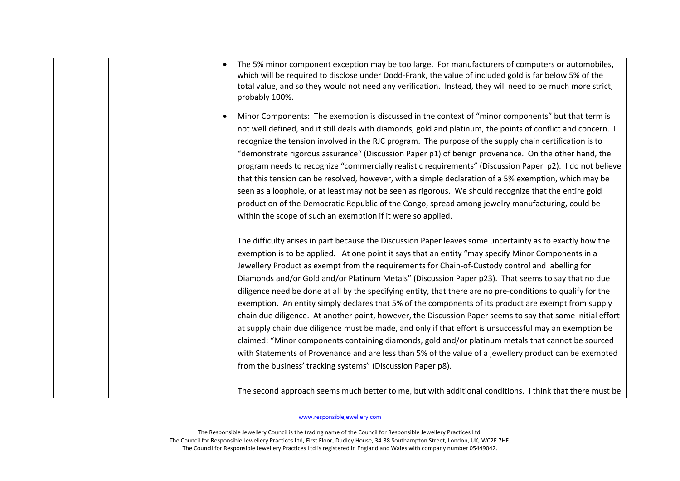| The 5% minor component exception may be too large. For manufacturers of computers or automobiles,<br>which will be required to disclose under Dodd-Frank, the value of included gold is far below 5% of the<br>total value, and so they would not need any verification. Instead, they will need to be much more strict,<br>probably 100%.                                                                                                                                                                                                                                                                                                                                                                                                                                                                                                                                                                                                                                                                                                                                                                                                              |
|---------------------------------------------------------------------------------------------------------------------------------------------------------------------------------------------------------------------------------------------------------------------------------------------------------------------------------------------------------------------------------------------------------------------------------------------------------------------------------------------------------------------------------------------------------------------------------------------------------------------------------------------------------------------------------------------------------------------------------------------------------------------------------------------------------------------------------------------------------------------------------------------------------------------------------------------------------------------------------------------------------------------------------------------------------------------------------------------------------------------------------------------------------|
| Minor Components: The exemption is discussed in the context of "minor components" but that term is<br>٠<br>not well defined, and it still deals with diamonds, gold and platinum, the points of conflict and concern. I<br>recognize the tension involved in the RJC program. The purpose of the supply chain certification is to<br>"demonstrate rigorous assurance" (Discussion Paper p1) of benign provenance. On the other hand, the<br>program needs to recognize "commercially realistic requirements" (Discussion Paper p2). I do not believe<br>that this tension can be resolved, however, with a simple declaration of a 5% exemption, which may be<br>seen as a loophole, or at least may not be seen as rigorous. We should recognize that the entire gold<br>production of the Democratic Republic of the Congo, spread among jewelry manufacturing, could be<br>within the scope of such an exemption if it were so applied.                                                                                                                                                                                                              |
| The difficulty arises in part because the Discussion Paper leaves some uncertainty as to exactly how the<br>exemption is to be applied. At one point it says that an entity "may specify Minor Components in a<br>Jewellery Product as exempt from the requirements for Chain-of-Custody control and labelling for<br>Diamonds and/or Gold and/or Platinum Metals" (Discussion Paper p23). That seems to say that no due<br>diligence need be done at all by the specifying entity, that there are no pre-conditions to qualify for the<br>exemption. An entity simply declares that 5% of the components of its product are exempt from supply<br>chain due diligence. At another point, however, the Discussion Paper seems to say that some initial effort<br>at supply chain due diligence must be made, and only if that effort is unsuccessful may an exemption be<br>claimed: "Minor components containing diamonds, gold and/or platinum metals that cannot be sourced<br>with Statements of Provenance and are less than 5% of the value of a jewellery product can be exempted<br>from the business' tracking systems" (Discussion Paper p8). |
| The second approach seems much better to me, but with additional conditions. I think that there must be                                                                                                                                                                                                                                                                                                                                                                                                                                                                                                                                                                                                                                                                                                                                                                                                                                                                                                                                                                                                                                                 |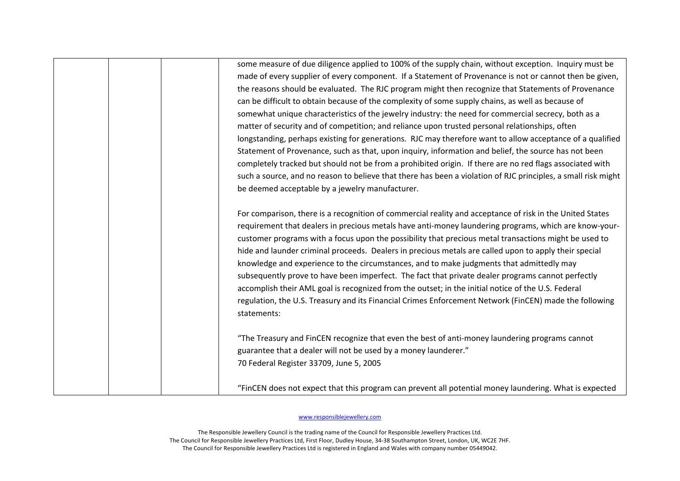| some measure of due diligence applied to 100% of the supply chain, without exception. Inquiry must be         |
|---------------------------------------------------------------------------------------------------------------|
| made of every supplier of every component. If a Statement of Provenance is not or cannot then be given,       |
| the reasons should be evaluated. The RJC program might then recognize that Statements of Provenance           |
| can be difficult to obtain because of the complexity of some supply chains, as well as because of             |
| somewhat unique characteristics of the jewelry industry: the need for commercial secrecy, both as a           |
| matter of security and of competition; and reliance upon trusted personal relationships, often                |
| longstanding, perhaps existing for generations. RJC may therefore want to allow acceptance of a qualified     |
| Statement of Provenance, such as that, upon inquiry, information and belief, the source has not been          |
| completely tracked but should not be from a prohibited origin. If there are no red flags associated with      |
| such a source, and no reason to believe that there has been a violation of RJC principles, a small risk might |
| be deemed acceptable by a jewelry manufacturer.                                                               |
| For comparison, there is a recognition of commercial reality and acceptance of risk in the United States      |
| requirement that dealers in precious metals have anti-money laundering programs, which are know-your-         |
| customer programs with a focus upon the possibility that precious metal transactions might be used to         |
| hide and launder criminal proceeds. Dealers in precious metals are called upon to apply their special         |
| knowledge and experience to the circumstances, and to make judgments that admittedly may                      |
| subsequently prove to have been imperfect. The fact that private dealer programs cannot perfectly             |
| accomplish their AML goal is recognized from the outset; in the initial notice of the U.S. Federal            |
| regulation, the U.S. Treasury and its Financial Crimes Enforcement Network (FinCEN) made the following        |
| statements:                                                                                                   |
| "The Treasury and FinCEN recognize that even the best of anti-money laundering programs cannot                |
| guarantee that a dealer will not be used by a money launderer."                                               |
| 70 Federal Register 33709, June 5, 2005                                                                       |
|                                                                                                               |
| "FinCEN does not expect that this program can prevent all potential money laundering. What is expected        |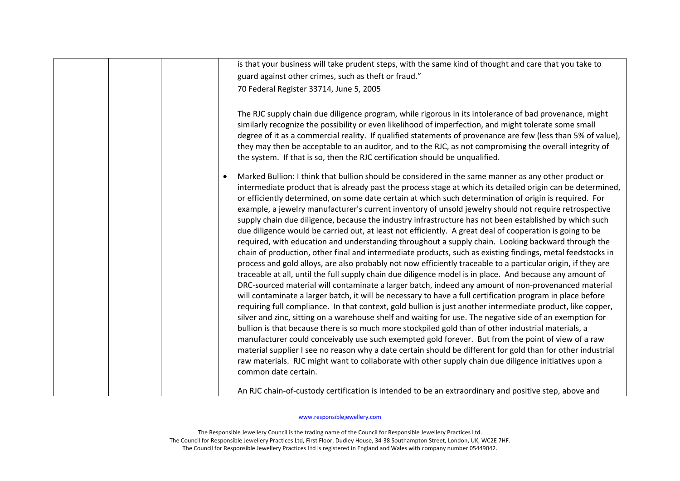| is that your business will take prudent steps, with the same kind of thought and care that you take to                                                                                                                                                                                                                                                                                                                                                                                                                                                                                                                                                                                                                                                                                                                                                                                                                                                                                                                                                                                                                                                                                                                                                                                                                                                                                                                                                                                                                                                                                                                                                                                                                                                                                                                                                                                                                                                                                                                     |
|----------------------------------------------------------------------------------------------------------------------------------------------------------------------------------------------------------------------------------------------------------------------------------------------------------------------------------------------------------------------------------------------------------------------------------------------------------------------------------------------------------------------------------------------------------------------------------------------------------------------------------------------------------------------------------------------------------------------------------------------------------------------------------------------------------------------------------------------------------------------------------------------------------------------------------------------------------------------------------------------------------------------------------------------------------------------------------------------------------------------------------------------------------------------------------------------------------------------------------------------------------------------------------------------------------------------------------------------------------------------------------------------------------------------------------------------------------------------------------------------------------------------------------------------------------------------------------------------------------------------------------------------------------------------------------------------------------------------------------------------------------------------------------------------------------------------------------------------------------------------------------------------------------------------------------------------------------------------------------------------------------------------------|
| guard against other crimes, such as theft or fraud."                                                                                                                                                                                                                                                                                                                                                                                                                                                                                                                                                                                                                                                                                                                                                                                                                                                                                                                                                                                                                                                                                                                                                                                                                                                                                                                                                                                                                                                                                                                                                                                                                                                                                                                                                                                                                                                                                                                                                                       |
| 70 Federal Register 33714, June 5, 2005                                                                                                                                                                                                                                                                                                                                                                                                                                                                                                                                                                                                                                                                                                                                                                                                                                                                                                                                                                                                                                                                                                                                                                                                                                                                                                                                                                                                                                                                                                                                                                                                                                                                                                                                                                                                                                                                                                                                                                                    |
| The RJC supply chain due diligence program, while rigorous in its intolerance of bad provenance, might<br>similarly recognize the possibility or even likelihood of imperfection, and might tolerate some small<br>degree of it as a commercial reality. If qualified statements of provenance are few (less than 5% of value),<br>they may then be acceptable to an auditor, and to the RJC, as not compromising the overall integrity of<br>the system. If that is so, then the RJC certification should be unqualified.                                                                                                                                                                                                                                                                                                                                                                                                                                                                                                                                                                                                                                                                                                                                                                                                                                                                                                                                                                                                                                                                                                                                                                                                                                                                                                                                                                                                                                                                                                 |
| Marked Bullion: I think that bullion should be considered in the same manner as any other product or<br>intermediate product that is already past the process stage at which its detailed origin can be determined,<br>or efficiently determined, on some date certain at which such determination of origin is required. For<br>example, a jewelry manufacturer's current inventory of unsold jewelry should not require retrospective<br>supply chain due diligence, because the industry infrastructure has not been established by which such<br>due diligence would be carried out, at least not efficiently. A great deal of cooperation is going to be<br>required, with education and understanding throughout a supply chain. Looking backward through the<br>chain of production, other final and intermediate products, such as existing findings, metal feedstocks in<br>process and gold alloys, are also probably not now efficiently traceable to a particular origin, if they are<br>traceable at all, until the full supply chain due diligence model is in place. And because any amount of<br>DRC-sourced material will contaminate a larger batch, indeed any amount of non-provenanced material<br>will contaminate a larger batch, it will be necessary to have a full certification program in place before<br>requiring full compliance. In that context, gold bullion is just another intermediate product, like copper,<br>silver and zinc, sitting on a warehouse shelf and waiting for use. The negative side of an exemption for<br>bullion is that because there is so much more stockpiled gold than of other industrial materials, a<br>manufacturer could conceivably use such exempted gold forever. But from the point of view of a raw<br>material supplier I see no reason why a date certain should be different for gold than for other industrial<br>raw materials. RJC might want to collaborate with other supply chain due diligence initiatives upon a<br>common date certain. |
| An RJC chain-of-custody certification is intended to be an extraordinary and positive step, above and                                                                                                                                                                                                                                                                                                                                                                                                                                                                                                                                                                                                                                                                                                                                                                                                                                                                                                                                                                                                                                                                                                                                                                                                                                                                                                                                                                                                                                                                                                                                                                                                                                                                                                                                                                                                                                                                                                                      |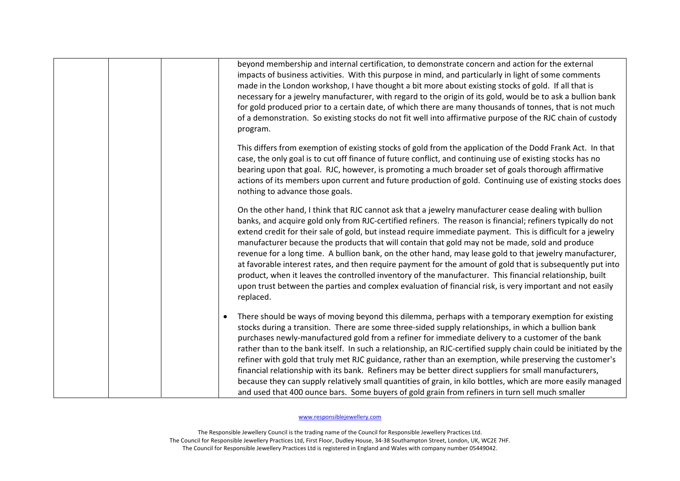| beyond membership and internal certification, to demonstrate concern and action for the external<br>impacts of business activities. With this purpose in mind, and particularly in light of some comments<br>made in the London workshop, I have thought a bit more about existing stocks of gold. If all that is<br>necessary for a jewelry manufacturer, with regard to the origin of its gold, would be to ask a bullion bank<br>for gold produced prior to a certain date, of which there are many thousands of tonnes, that is not much<br>of a demonstration. So existing stocks do not fit well into affirmative purpose of the RJC chain of custody<br>program.                                                                                                                                                                                                                                  |
|----------------------------------------------------------------------------------------------------------------------------------------------------------------------------------------------------------------------------------------------------------------------------------------------------------------------------------------------------------------------------------------------------------------------------------------------------------------------------------------------------------------------------------------------------------------------------------------------------------------------------------------------------------------------------------------------------------------------------------------------------------------------------------------------------------------------------------------------------------------------------------------------------------|
| This differs from exemption of existing stocks of gold from the application of the Dodd Frank Act. In that<br>case, the only goal is to cut off finance of future conflict, and continuing use of existing stocks has no<br>bearing upon that goal. RJC, however, is promoting a much broader set of goals thorough affirmative<br>actions of its members upon current and future production of gold. Continuing use of existing stocks does<br>nothing to advance those goals.                                                                                                                                                                                                                                                                                                                                                                                                                          |
| On the other hand, I think that RJC cannot ask that a jewelry manufacturer cease dealing with bullion<br>banks, and acquire gold only from RJC-certified refiners. The reason is financial; refiners typically do not<br>extend credit for their sale of gold, but instead require immediate payment. This is difficult for a jewelry<br>manufacturer because the products that will contain that gold may not be made, sold and produce<br>revenue for a long time. A bullion bank, on the other hand, may lease gold to that jewelry manufacturer,<br>at favorable interest rates, and then require payment for the amount of gold that is subsequently put into<br>product, when it leaves the controlled inventory of the manufacturer. This financial relationship, built<br>upon trust between the parties and complex evaluation of financial risk, is very important and not easily<br>replaced. |
| There should be ways of moving beyond this dilemma, perhaps with a temporary exemption for existing<br>stocks during a transition. There are some three-sided supply relationships, in which a bullion bank<br>purchases newly-manufactured gold from a refiner for immediate delivery to a customer of the bank<br>rather than to the bank itself. In such a relationship, an RJC-certified supply chain could be initiated by the<br>refiner with gold that truly met RJC guidance, rather than an exemption, while preserving the customer's<br>financial relationship with its bank. Refiners may be better direct suppliers for small manufacturers,<br>because they can supply relatively small quantities of grain, in kilo bottles, which are more easily managed<br>and used that 400 ounce bars. Some buyers of gold grain from refiners in turn sell much smaller                             |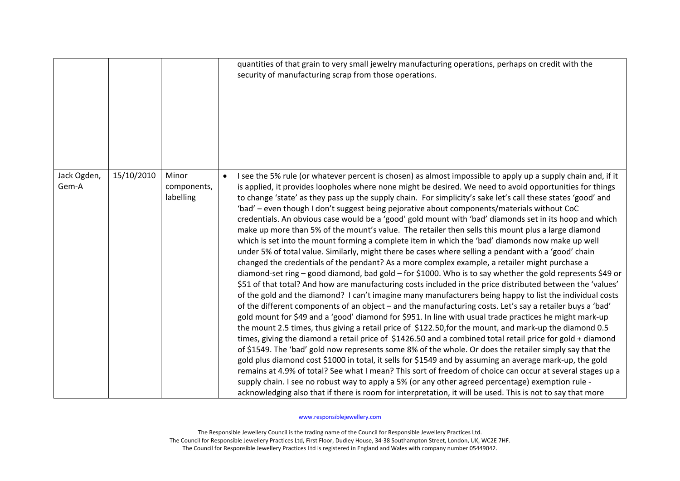|                      |            |                                   | quantities of that grain to very small jewelry manufacturing operations, perhaps on credit with the<br>security of manufacturing scrap from those operations.                                                                                                                                                                                                                                                                                                                                                                                                                                                                                                                                                                                                                                                                                                                                                                                                                                                                                                                                                                                                                                                                                                                                                                                                                                                                                                                                                                                                                                                                                                                                                                                                                                                                                                                                                                                                                                                                                                                                                                                                                                                                                                                                                          |
|----------------------|------------|-----------------------------------|------------------------------------------------------------------------------------------------------------------------------------------------------------------------------------------------------------------------------------------------------------------------------------------------------------------------------------------------------------------------------------------------------------------------------------------------------------------------------------------------------------------------------------------------------------------------------------------------------------------------------------------------------------------------------------------------------------------------------------------------------------------------------------------------------------------------------------------------------------------------------------------------------------------------------------------------------------------------------------------------------------------------------------------------------------------------------------------------------------------------------------------------------------------------------------------------------------------------------------------------------------------------------------------------------------------------------------------------------------------------------------------------------------------------------------------------------------------------------------------------------------------------------------------------------------------------------------------------------------------------------------------------------------------------------------------------------------------------------------------------------------------------------------------------------------------------------------------------------------------------------------------------------------------------------------------------------------------------------------------------------------------------------------------------------------------------------------------------------------------------------------------------------------------------------------------------------------------------------------------------------------------------------------------------------------------------|
| Jack Ogden,<br>Gem-A | 15/10/2010 | Minor<br>components,<br>labelling | I see the 5% rule (or whatever percent is chosen) as almost impossible to apply up a supply chain and, if it<br>is applied, it provides loopholes where none might be desired. We need to avoid opportunities for things<br>to change 'state' as they pass up the supply chain. For simplicity's sake let's call these states 'good' and<br>'bad' - even though I don't suggest being pejorative about components/materials without CoC<br>credentials. An obvious case would be a 'good' gold mount with 'bad' diamonds set in its hoop and which<br>make up more than 5% of the mount's value. The retailer then sells this mount plus a large diamond<br>which is set into the mount forming a complete item in which the 'bad' diamonds now make up well<br>under 5% of total value. Similarly, might there be cases where selling a pendant with a 'good' chain<br>changed the credentials of the pendant? As a more complex example, a retailer might purchase a<br>diamond-set ring - good diamond, bad gold - for \$1000. Who is to say whether the gold represents \$49 or<br>\$51 of that total? And how are manufacturing costs included in the price distributed between the 'values'<br>of the gold and the diamond? I can't imagine many manufacturers being happy to list the individual costs<br>of the different components of an object - and the manufacturing costs. Let's say a retailer buys a 'bad'<br>gold mount for \$49 and a 'good' diamond for \$951. In line with usual trade practices he might mark-up<br>the mount 2.5 times, thus giving a retail price of \$122.50, for the mount, and mark-up the diamond 0.5<br>times, giving the diamond a retail price of \$1426.50 and a combined total retail price for gold + diamond<br>of \$1549. The 'bad' gold now represents some 8% of the whole. Or does the retailer simply say that the<br>gold plus diamond cost \$1000 in total, it sells for \$1549 and by assuming an average mark-up, the gold<br>remains at 4.9% of total? See what I mean? This sort of freedom of choice can occur at several stages up a<br>supply chain. I see no robust way to apply a 5% (or any other agreed percentage) exemption rule -<br>acknowledging also that if there is room for interpretation, it will be used. This is not to say that more |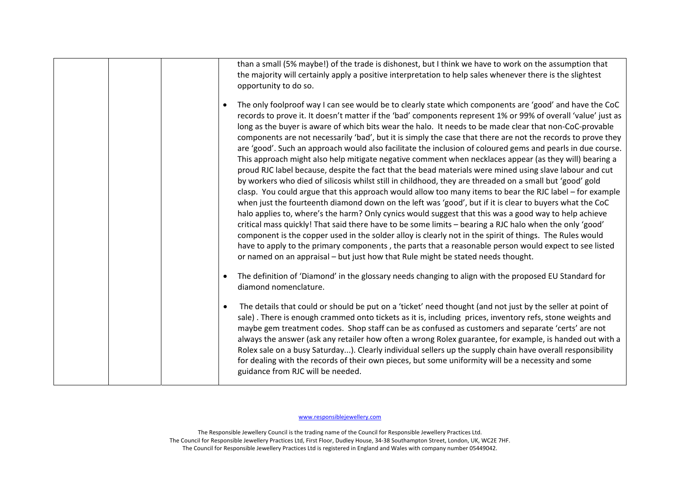|  | than a small (5% maybe!) of the trade is dishonest, but I think we have to work on the assumption that<br>the majority will certainly apply a positive interpretation to help sales whenever there is the slightest<br>opportunity to do so.                                                                                                                                                                                                                                                                                                                                                                                                                                                                                                                                                                                                                                                                                                                                                                                                                                                                                                                                                                                                                                                                                                                                                                                                                                                                                                                                                                                                             |
|--|----------------------------------------------------------------------------------------------------------------------------------------------------------------------------------------------------------------------------------------------------------------------------------------------------------------------------------------------------------------------------------------------------------------------------------------------------------------------------------------------------------------------------------------------------------------------------------------------------------------------------------------------------------------------------------------------------------------------------------------------------------------------------------------------------------------------------------------------------------------------------------------------------------------------------------------------------------------------------------------------------------------------------------------------------------------------------------------------------------------------------------------------------------------------------------------------------------------------------------------------------------------------------------------------------------------------------------------------------------------------------------------------------------------------------------------------------------------------------------------------------------------------------------------------------------------------------------------------------------------------------------------------------------|
|  | The only foolproof way I can see would be to clearly state which components are 'good' and have the CoC<br>records to prove it. It doesn't matter if the 'bad' components represent 1% or 99% of overall 'value' just as<br>long as the buyer is aware of which bits wear the halo. It needs to be made clear that non-CoC-provable<br>components are not necessarily 'bad', but it is simply the case that there are not the records to prove they<br>are 'good'. Such an approach would also facilitate the inclusion of coloured gems and pearls in due course.<br>This approach might also help mitigate negative comment when necklaces appear (as they will) bearing a<br>proud RJC label because, despite the fact that the bead materials were mined using slave labour and cut<br>by workers who died of silicosis whilst still in childhood, they are threaded on a small but 'good' gold<br>clasp. You could argue that this approach would allow too many items to bear the RJC label – for example<br>when just the fourteenth diamond down on the left was 'good', but if it is clear to buyers what the CoC<br>halo applies to, where's the harm? Only cynics would suggest that this was a good way to help achieve<br>critical mass quickly! That said there have to be some limits - bearing a RJC halo when the only 'good'<br>component is the copper used in the solder alloy is clearly not in the spirit of things. The Rules would<br>have to apply to the primary components, the parts that a reasonable person would expect to see listed<br>or named on an appraisal – but just how that Rule might be stated needs thought. |
|  | The definition of 'Diamond' in the glossary needs changing to align with the proposed EU Standard for<br>diamond nomenclature.                                                                                                                                                                                                                                                                                                                                                                                                                                                                                                                                                                                                                                                                                                                                                                                                                                                                                                                                                                                                                                                                                                                                                                                                                                                                                                                                                                                                                                                                                                                           |
|  | The details that could or should be put on a 'ticket' need thought (and not just by the seller at point of<br>$\bullet$<br>sale). There is enough crammed onto tickets as it is, including prices, inventory refs, stone weights and<br>maybe gem treatment codes. Shop staff can be as confused as customers and separate 'certs' are not<br>always the answer (ask any retailer how often a wrong Rolex guarantee, for example, is handed out with a<br>Rolex sale on a busy Saturday). Clearly individual sellers up the supply chain have overall responsibility<br>for dealing with the records of their own pieces, but some uniformity will be a necessity and some<br>guidance from RJC will be needed.                                                                                                                                                                                                                                                                                                                                                                                                                                                                                                                                                                                                                                                                                                                                                                                                                                                                                                                                          |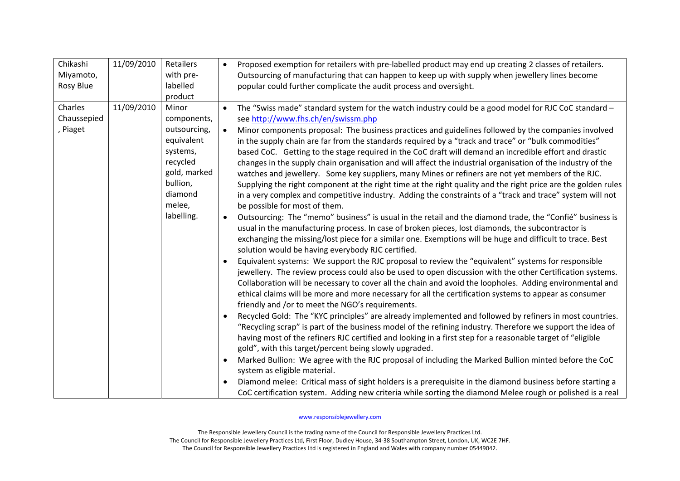| Chikashi    | 11/09/2010 | Retailers    | $\bullet$ | Proposed exemption for retailers with pre-labelled product may end up creating 2 classes of retailers.                                                      |
|-------------|------------|--------------|-----------|-------------------------------------------------------------------------------------------------------------------------------------------------------------|
| Miyamoto,   |            | with pre-    |           | Outsourcing of manufacturing that can happen to keep up with supply when jewellery lines become                                                             |
| Rosy Blue   |            | labelled     |           | popular could further complicate the audit process and oversight.                                                                                           |
|             |            | product      |           |                                                                                                                                                             |
| Charles     | 11/09/2010 | Minor        | $\bullet$ | The "Swiss made" standard system for the watch industry could be a good model for RJC CoC standard -                                                        |
| Chaussepied |            | components,  |           | see http://www.fhs.ch/en/swissm.php                                                                                                                         |
| , Piaget    |            | outsourcing, | $\bullet$ | Minor components proposal: The business practices and guidelines followed by the companies involved                                                         |
|             |            | equivalent   |           | in the supply chain are far from the standards required by a "track and trace" or "bulk commodities"                                                        |
|             |            | systems,     |           | based CoC. Getting to the stage required in the CoC draft will demand an incredible effort and drastic                                                      |
|             |            | recycled     |           | changes in the supply chain organisation and will affect the industrial organisation of the industry of the                                                 |
|             |            | gold, marked |           | watches and jewellery. Some key suppliers, many Mines or refiners are not yet members of the RJC.                                                           |
|             |            | bullion,     |           | Supplying the right component at the right time at the right quality and the right price are the golden rules                                               |
|             |            | diamond      |           | in a very complex and competitive industry. Adding the constraints of a "track and trace" system will not                                                   |
|             |            | melee,       |           | be possible for most of them.                                                                                                                               |
|             |            | labelling.   | $\bullet$ | Outsourcing: The "memo" business" is usual in the retail and the diamond trade, the "Confié" business is                                                    |
|             |            |              |           | usual in the manufacturing process. In case of broken pieces, lost diamonds, the subcontractor is                                                           |
|             |            |              |           | exchanging the missing/lost piece for a similar one. Exemptions will be huge and difficult to trace. Best                                                   |
|             |            |              |           | solution would be having everybody RJC certified.                                                                                                           |
|             |            |              | $\bullet$ | Equivalent systems: We support the RJC proposal to review the "equivalent" systems for responsible                                                          |
|             |            |              |           | jewellery. The review process could also be used to open discussion with the other Certification systems.                                                   |
|             |            |              |           | Collaboration will be necessary to cover all the chain and avoid the loopholes. Adding environmental and                                                    |
|             |            |              |           | ethical claims will be more and more necessary for all the certification systems to appear as consumer                                                      |
|             |            |              |           | friendly and /or to meet the NGO's requirements.<br>Recycled Gold: The "KYC principles" are already implemented and followed by refiners in most countries. |
|             |            |              | $\bullet$ | "Recycling scrap" is part of the business model of the refining industry. Therefore we support the idea of                                                  |
|             |            |              |           | having most of the refiners RJC certified and looking in a first step for a reasonable target of "eligible                                                  |
|             |            |              |           | gold", with this target/percent being slowly upgraded.                                                                                                      |
|             |            |              | $\bullet$ | Marked Bullion: We agree with the RJC proposal of including the Marked Bullion minted before the CoC                                                        |
|             |            |              |           | system as eligible material.                                                                                                                                |
|             |            |              | $\bullet$ | Diamond melee: Critical mass of sight holders is a prerequisite in the diamond business before starting a                                                   |
|             |            |              |           | CoC certification system. Adding new criteria while sorting the diamond Melee rough or polished is a real                                                   |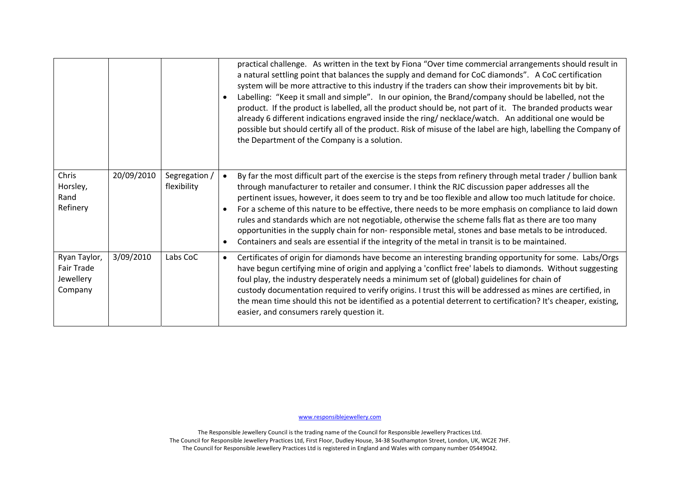|                                                    |            |                              | $\bullet$              | practical challenge. As written in the text by Fiona "Over time commercial arrangements should result in<br>a natural settling point that balances the supply and demand for CoC diamonds". A CoC certification<br>system will be more attractive to this industry if the traders can show their improvements bit by bit.<br>Labelling: "Keep it small and simple". In our opinion, the Brand/company should be labelled, not the<br>product. If the product is labelled, all the product should be, not part of it. The branded products wear<br>already 6 different indications engraved inside the ring/necklace/watch. An additional one would be<br>possible but should certify all of the product. Risk of misuse of the label are high, labelling the Company of<br>the Department of the Company is a solution. |
|----------------------------------------------------|------------|------------------------------|------------------------|-------------------------------------------------------------------------------------------------------------------------------------------------------------------------------------------------------------------------------------------------------------------------------------------------------------------------------------------------------------------------------------------------------------------------------------------------------------------------------------------------------------------------------------------------------------------------------------------------------------------------------------------------------------------------------------------------------------------------------------------------------------------------------------------------------------------------|
| Chris<br>Horsley,<br>Rand<br>Refinery              | 20/09/2010 | Segregation /<br>flexibility | $\bullet$<br>$\bullet$ | By far the most difficult part of the exercise is the steps from refinery through metal trader / bullion bank<br>through manufacturer to retailer and consumer. I think the RJC discussion paper addresses all the<br>pertinent issues, however, it does seem to try and be too flexible and allow too much latitude for choice.<br>For a scheme of this nature to be effective, there needs to be more emphasis on compliance to laid down<br>rules and standards which are not negotiable, otherwise the scheme falls flat as there are too many<br>opportunities in the supply chain for non-responsible metal, stones and base metals to be introduced.<br>Containers and seals are essential if the integrity of the metal in transit is to be maintained.                                                         |
| Ryan Taylor,<br>Fair Trade<br>Jewellery<br>Company | 3/09/2010  | Labs CoC                     | $\bullet$              | Certificates of origin for diamonds have become an interesting branding opportunity for some. Labs/Orgs<br>have begun certifying mine of origin and applying a 'conflict free' labels to diamonds. Without suggesting<br>foul play, the industry desperately needs a minimum set of (global) guidelines for chain of<br>custody documentation required to verify origins. I trust this will be addressed as mines are certified, in<br>the mean time should this not be identified as a potential deterrent to certification? It's cheaper, existing,<br>easier, and consumers rarely question it.                                                                                                                                                                                                                      |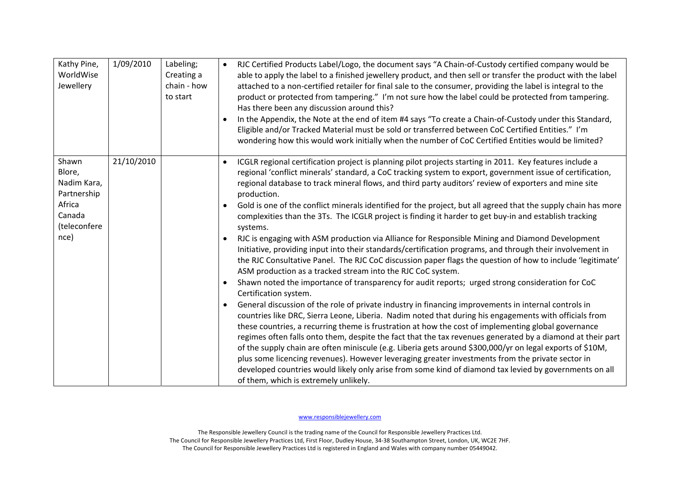| Kathy Pine,<br>WorldWise<br>Jewellery                                                     | 1/09/2010  | Labeling;<br>Creating a<br>chain - how<br>to start | RJC Certified Products Label/Logo, the document says "A Chain-of-Custody certified company would be<br>$\bullet$<br>able to apply the label to a finished jewellery product, and then sell or transfer the product with the label<br>attached to a non-certified retailer for final sale to the consumer, providing the label is integral to the<br>product or protected from tampering." I'm not sure how the label could be protected from tampering.<br>Has there been any discussion around this?<br>In the Appendix, the Note at the end of item #4 says "To create a Chain-of-Custody under this Standard,<br>Eligible and/or Tracked Material must be sold or transferred between CoC Certified Entities." I'm<br>wondering how this would work initially when the number of CoC Certified Entities would be limited?                                                                                                                                                                                                                                                                                                                                                                                                                                                                                                                                                                                                                                                                                                                                                                                                                                                                                                                                                                                                                                                                                                                                                                 |
|-------------------------------------------------------------------------------------------|------------|----------------------------------------------------|----------------------------------------------------------------------------------------------------------------------------------------------------------------------------------------------------------------------------------------------------------------------------------------------------------------------------------------------------------------------------------------------------------------------------------------------------------------------------------------------------------------------------------------------------------------------------------------------------------------------------------------------------------------------------------------------------------------------------------------------------------------------------------------------------------------------------------------------------------------------------------------------------------------------------------------------------------------------------------------------------------------------------------------------------------------------------------------------------------------------------------------------------------------------------------------------------------------------------------------------------------------------------------------------------------------------------------------------------------------------------------------------------------------------------------------------------------------------------------------------------------------------------------------------------------------------------------------------------------------------------------------------------------------------------------------------------------------------------------------------------------------------------------------------------------------------------------------------------------------------------------------------------------------------------------------------------------------------------------------------|
| Shawn<br>Blore,<br>Nadim Kara,<br>Partnership<br>Africa<br>Canada<br>(teleconfere<br>nce) | 21/10/2010 |                                                    | ICGLR regional certification project is planning pilot projects starting in 2011. Key features include a<br>$\bullet$<br>regional 'conflict minerals' standard, a CoC tracking system to export, government issue of certification,<br>regional database to track mineral flows, and third party auditors' review of exporters and mine site<br>production.<br>Gold is one of the conflict minerals identified for the project, but all agreed that the supply chain has more<br>$\bullet$<br>complexities than the 3Ts. The ICGLR project is finding it harder to get buy-in and establish tracking<br>systems.<br>RJC is engaging with ASM production via Alliance for Responsible Mining and Diamond Development<br>$\bullet$<br>Initiative, providing input into their standards/certification programs, and through their involvement in<br>the RJC Consultative Panel. The RJC CoC discussion paper flags the question of how to include 'legitimate'<br>ASM production as a tracked stream into the RJC CoC system.<br>Shawn noted the importance of transparency for audit reports; urged strong consideration for CoC<br>$\bullet$<br>Certification system.<br>General discussion of the role of private industry in financing improvements in internal controls in<br>$\bullet$<br>countries like DRC, Sierra Leone, Liberia. Nadim noted that during his engagements with officials from<br>these countries, a recurring theme is frustration at how the cost of implementing global governance<br>regimes often falls onto them, despite the fact that the tax revenues generated by a diamond at their part<br>of the supply chain are often miniscule (e.g. Liberia gets around \$300,000/yr on legal exports of \$10M,<br>plus some licencing revenues). However leveraging greater investments from the private sector in<br>developed countries would likely only arise from some kind of diamond tax levied by governments on all<br>of them, which is extremely unlikely. |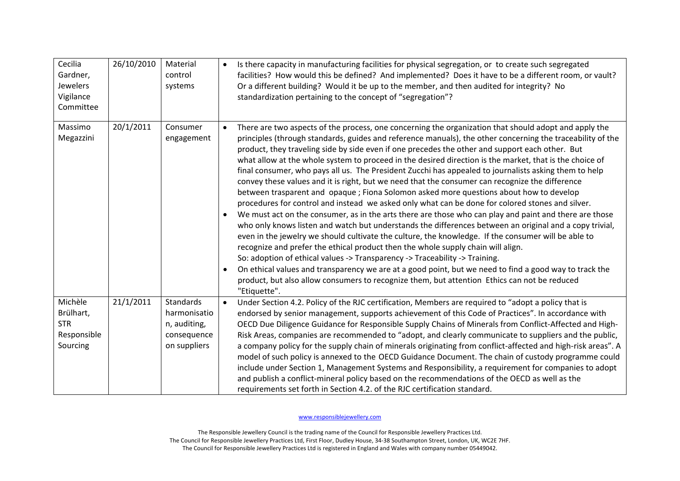| Cecilia<br>Gardner,<br>Jewelers<br>Vigilance<br>Committee     | 26/10/2010 | Material<br>control<br>systems                                                  | $\bullet$              | Is there capacity in manufacturing facilities for physical segregation, or to create such segregated<br>facilities? How would this be defined? And implemented? Does it have to be a different room, or vault?<br>Or a different building? Would it be up to the member, and then audited for integrity? No<br>standardization pertaining to the concept of "segregation"?                                                                                                                                                                                                                                                                                                                                                                                                                                                                                                                                                                                                                                                                                                                                                                                                                                                                                                                                                                                                                                                                                                                                                                                            |
|---------------------------------------------------------------|------------|---------------------------------------------------------------------------------|------------------------|-----------------------------------------------------------------------------------------------------------------------------------------------------------------------------------------------------------------------------------------------------------------------------------------------------------------------------------------------------------------------------------------------------------------------------------------------------------------------------------------------------------------------------------------------------------------------------------------------------------------------------------------------------------------------------------------------------------------------------------------------------------------------------------------------------------------------------------------------------------------------------------------------------------------------------------------------------------------------------------------------------------------------------------------------------------------------------------------------------------------------------------------------------------------------------------------------------------------------------------------------------------------------------------------------------------------------------------------------------------------------------------------------------------------------------------------------------------------------------------------------------------------------------------------------------------------------|
| Massimo<br>Megazzini                                          | 20/1/2011  | Consumer<br>engagement                                                          | $\bullet$<br>$\bullet$ | There are two aspects of the process, one concerning the organization that should adopt and apply the<br>principles (through standards, guides and reference manuals), the other concerning the traceability of the<br>product, they traveling side by side even if one precedes the other and support each other. But<br>what allow at the whole system to proceed in the desired direction is the market, that is the choice of<br>final consumer, who pays all us. The President Zucchi has appealed to journalists asking them to help<br>convey these values and it is right, but we need that the consumer can recognize the difference<br>between trasparent and opaque ; Fiona Solomon asked more questions about how to develop<br>procedures for control and instead we asked only what can be done for colored stones and silver.<br>We must act on the consumer, as in the arts there are those who can play and paint and there are those<br>who only knows listen and watch but understands the differences between an original and a copy trivial,<br>even in the jewelry we should cultivate the culture, the knowledge. If the consumer will be able to<br>recognize and prefer the ethical product then the whole supply chain will align.<br>So: adoption of ethical values -> Transparency -> Traceability -> Training.<br>On ethical values and transparency we are at a good point, but we need to find a good way to track the<br>product, but also allow consumers to recognize them, but attention Ethics can not be reduced<br>"Etiquette". |
| Michèle<br>Brülhart,<br><b>STR</b><br>Responsible<br>Sourcing | 21/1/2011  | <b>Standards</b><br>harmonisatio<br>n, auditing,<br>consequence<br>on suppliers | $\bullet$              | Under Section 4.2. Policy of the RJC certification, Members are required to "adopt a policy that is<br>endorsed by senior management, supports achievement of this Code of Practices". In accordance with<br>OECD Due Diligence Guidance for Responsible Supply Chains of Minerals from Conflict-Affected and High-<br>Risk Areas, companies are recommended to "adopt, and clearly communicate to suppliers and the public,<br>a company policy for the supply chain of minerals originating from conflict-affected and high-risk areas". A<br>model of such policy is annexed to the OECD Guidance Document. The chain of custody programme could<br>include under Section 1, Management Systems and Responsibility, a requirement for companies to adopt<br>and publish a conflict-mineral policy based on the recommendations of the OECD as well as the<br>requirements set forth in Section 4.2. of the RJC certification standard.                                                                                                                                                                                                                                                                                                                                                                                                                                                                                                                                                                                                                             |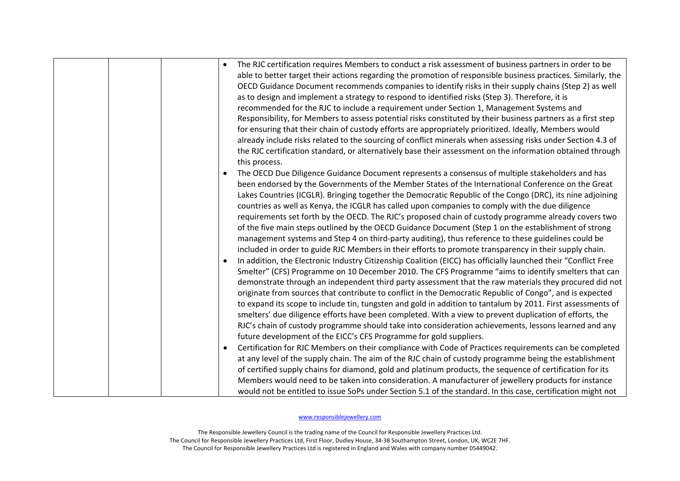|  | $\bullet$ | The RJC certification requires Members to conduct a risk assessment of business partners in order to be<br>able to better target their actions regarding the promotion of responsible business practices. Similarly, the<br>OECD Guidance Document recommends companies to identify risks in their supply chains (Step 2) as well<br>as to design and implement a strategy to respond to identified risks (Step 3). Therefore, it is<br>recommended for the RJC to include a requirement under Section 1, Management Systems and<br>Responsibility, for Members to assess potential risks constituted by their business partners as a first step<br>for ensuring that their chain of custody efforts are appropriately prioritized. Ideally, Members would<br>already include risks related to the sourcing of conflict minerals when assessing risks under Section 4.3 of<br>the RJC certification standard, or alternatively base their assessment on the information obtained through<br>this process.<br>The OECD Due Diligence Guidance Document represents a consensus of multiple stakeholders and has<br>been endorsed by the Governments of the Member States of the International Conference on the Great<br>Lakes Countries (ICGLR). Bringing together the Democratic Republic of the Congo (DRC), its nine adjoining<br>countries as well as Kenya, the ICGLR has called upon companies to comply with the due diligence<br>requirements set forth by the OECD. The RJC's proposed chain of custody programme already covers two<br>of the five main steps outlined by the OECD Guidance Document (Step 1 on the establishment of strong<br>management systems and Step 4 on third-party auditing), thus reference to these guidelines could be<br>included in order to guide RJC Members in their efforts to promote transparency in their supply chain.<br>In addition, the Electronic Industry Citizenship Coalition (EICC) has officially launched their "Conflict Free<br>Smelter" (CFS) Programme on 10 December 2010. The CFS Programme "aims to identify smelters that can<br>demonstrate through an independent third party assessment that the raw materials they procured did not<br>originate from sources that contribute to conflict in the Democratic Republic of Congo", and is expected<br>to expand its scope to include tin, tungsten and gold in addition to tantalum by 2011. First assessments of<br>smelters' due diligence efforts have been completed. With a view to prevent duplication of efforts, the<br>RJC's chain of custody programme should take into consideration achievements, lessons learned and any<br>future development of the EICC's CFS Programme for gold suppliers.<br>Certification for RJC Members on their compliance with Code of Practices requirements can be completed |
|--|-----------|-----------------------------------------------------------------------------------------------------------------------------------------------------------------------------------------------------------------------------------------------------------------------------------------------------------------------------------------------------------------------------------------------------------------------------------------------------------------------------------------------------------------------------------------------------------------------------------------------------------------------------------------------------------------------------------------------------------------------------------------------------------------------------------------------------------------------------------------------------------------------------------------------------------------------------------------------------------------------------------------------------------------------------------------------------------------------------------------------------------------------------------------------------------------------------------------------------------------------------------------------------------------------------------------------------------------------------------------------------------------------------------------------------------------------------------------------------------------------------------------------------------------------------------------------------------------------------------------------------------------------------------------------------------------------------------------------------------------------------------------------------------------------------------------------------------------------------------------------------------------------------------------------------------------------------------------------------------------------------------------------------------------------------------------------------------------------------------------------------------------------------------------------------------------------------------------------------------------------------------------------------------------------------------------------------------------------------------------------------------------------------------------------------------------------------------------------------------------------------------------------------------------------------------------------------------------------------------------------------------------------------------------------------------------------------------------------------------------------------------------------------------------------------------------------------------------------------------------|
|  |           | at any level of the supply chain. The aim of the RJC chain of custody programme being the establishment<br>of certified supply chains for diamond, gold and platinum products, the sequence of certification for its                                                                                                                                                                                                                                                                                                                                                                                                                                                                                                                                                                                                                                                                                                                                                                                                                                                                                                                                                                                                                                                                                                                                                                                                                                                                                                                                                                                                                                                                                                                                                                                                                                                                                                                                                                                                                                                                                                                                                                                                                                                                                                                                                                                                                                                                                                                                                                                                                                                                                                                                                                                                                    |
|  |           | Members would need to be taken into consideration. A manufacturer of jewellery products for instance                                                                                                                                                                                                                                                                                                                                                                                                                                                                                                                                                                                                                                                                                                                                                                                                                                                                                                                                                                                                                                                                                                                                                                                                                                                                                                                                                                                                                                                                                                                                                                                                                                                                                                                                                                                                                                                                                                                                                                                                                                                                                                                                                                                                                                                                                                                                                                                                                                                                                                                                                                                                                                                                                                                                    |
|  |           | would not be entitled to issue SoPs under Section 5.1 of the standard. In this case, certification might not                                                                                                                                                                                                                                                                                                                                                                                                                                                                                                                                                                                                                                                                                                                                                                                                                                                                                                                                                                                                                                                                                                                                                                                                                                                                                                                                                                                                                                                                                                                                                                                                                                                                                                                                                                                                                                                                                                                                                                                                                                                                                                                                                                                                                                                                                                                                                                                                                                                                                                                                                                                                                                                                                                                            |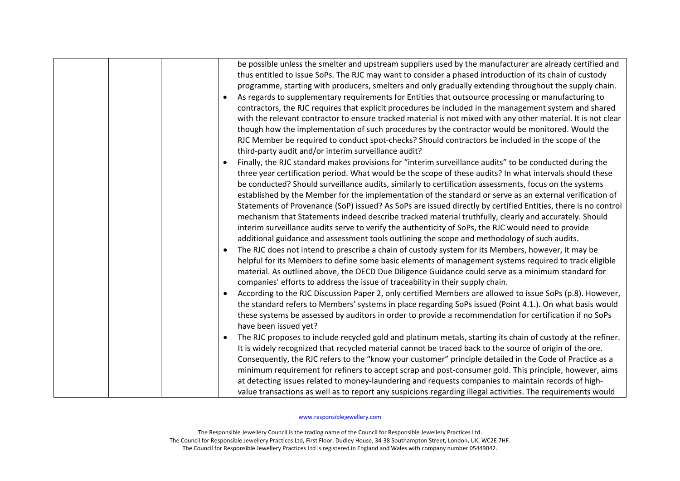|  | be possible unless the smelter and upstream suppliers used by the manufacturer are already certified and<br>thus entitled to issue SoPs. The RJC may want to consider a phased introduction of its chain of custody<br>programme, starting with producers, smelters and only gradually extending throughout the supply chain.<br>As regards to supplementary requirements for Entities that outsource processing or manufacturing to<br>contractors, the RJC requires that explicit procedures be included in the management system and shared<br>with the relevant contractor to ensure tracked material is not mixed with any other material. It is not clear<br>though how the implementation of such procedures by the contractor would be monitored. Would the<br>RJC Member be required to conduct spot-checks? Should contractors be included in the scope of the<br>third-party audit and/or interim surveillance audit?                                                                                                                                                                                                                                                                                                                                                                                                                                                                |
|--|-------------------------------------------------------------------------------------------------------------------------------------------------------------------------------------------------------------------------------------------------------------------------------------------------------------------------------------------------------------------------------------------------------------------------------------------------------------------------------------------------------------------------------------------------------------------------------------------------------------------------------------------------------------------------------------------------------------------------------------------------------------------------------------------------------------------------------------------------------------------------------------------------------------------------------------------------------------------------------------------------------------------------------------------------------------------------------------------------------------------------------------------------------------------------------------------------------------------------------------------------------------------------------------------------------------------------------------------------------------------------------------------------|
|  | Finally, the RJC standard makes provisions for "interim surveillance audits" to be conducted during the<br>three year certification period. What would be the scope of these audits? In what intervals should these<br>be conducted? Should surveillance audits, similarly to certification assessments, focus on the systems<br>established by the Member for the implementation of the standard or serve as an external verification of<br>Statements of Provenance (SoP) issued? As SoPs are issued directly by certified Entities, there is no control<br>mechanism that Statements indeed describe tracked material truthfully, clearly and accurately. Should<br>interim surveillance audits serve to verify the authenticity of SoPs, the RJC would need to provide<br>additional guidance and assessment tools outlining the scope and methodology of such audits.<br>The RJC does not intend to prescribe a chain of custody system for its Members, however, it may be<br>helpful for its Members to define some basic elements of management systems required to track eligible<br>material. As outlined above, the OECD Due Diligence Guidance could serve as a minimum standard for<br>companies' efforts to address the issue of traceability in their supply chain.<br>According to the RJC Discussion Paper 2, only certified Members are allowed to issue SoPs (p.8). However, |
|  | the standard refers to Members' systems in place regarding SoPs issued (Point 4.1.). On what basis would<br>these systems be assessed by auditors in order to provide a recommendation for certification if no SoPs<br>have been issued yet?                                                                                                                                                                                                                                                                                                                                                                                                                                                                                                                                                                                                                                                                                                                                                                                                                                                                                                                                                                                                                                                                                                                                                    |
|  | The RJC proposes to include recycled gold and platinum metals, starting its chain of custody at the refiner.<br>It is widely recognized that recycled material cannot be traced back to the source of origin of the ore.<br>Consequently, the RJC refers to the "know your customer" principle detailed in the Code of Practice as a<br>minimum requirement for refiners to accept scrap and post-consumer gold. This principle, however, aims<br>at detecting issues related to money-laundering and requests companies to maintain records of high-                                                                                                                                                                                                                                                                                                                                                                                                                                                                                                                                                                                                                                                                                                                                                                                                                                           |
|  | value transactions as well as to report any suspicions regarding illegal activities. The requirements would                                                                                                                                                                                                                                                                                                                                                                                                                                                                                                                                                                                                                                                                                                                                                                                                                                                                                                                                                                                                                                                                                                                                                                                                                                                                                     |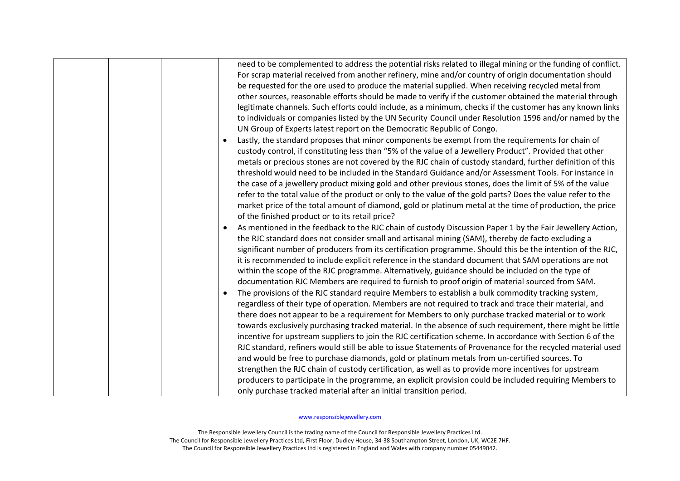| $\bullet$ | need to be complemented to address the potential risks related to illegal mining or the funding of conflict.<br>For scrap material received from another refinery, mine and/or country of origin documentation should<br>be requested for the ore used to produce the material supplied. When receiving recycled metal from<br>other sources, reasonable efforts should be made to verify if the customer obtained the material through<br>legitimate channels. Such efforts could include, as a minimum, checks if the customer has any known links<br>to individuals or companies listed by the UN Security Council under Resolution 1596 and/or named by the<br>UN Group of Experts latest report on the Democratic Republic of Congo.<br>Lastly, the standard proposes that minor components be exempt from the requirements for chain of<br>custody control, if constituting less than "5% of the value of a Jewellery Product". Provided that other<br>metals or precious stones are not covered by the RJC chain of custody standard, further definition of this<br>threshold would need to be included in the Standard Guidance and/or Assessment Tools. For instance in<br>the case of a jewellery product mixing gold and other previous stones, does the limit of 5% of the value<br>refer to the total value of the product or only to the value of the gold parts? Does the value refer to the<br>market price of the total amount of diamond, gold or platinum metal at the time of production, the price<br>of the finished product or to its retail price?<br>As mentioned in the feedback to the RJC chain of custody Discussion Paper 1 by the Fair Jewellery Action,<br>the RJC standard does not consider small and artisanal mining (SAM), thereby de facto excluding a<br>significant number of producers from its certification programme. Should this be the intention of the RJC,<br>it is recommended to include explicit reference in the standard document that SAM operations are not<br>within the scope of the RJC programme. Alternatively, guidance should be included on the type of<br>documentation RJC Members are required to furnish to proof origin of material sourced from SAM.<br>The provisions of the RJC standard require Members to establish a bulk commodity tracking system,<br>regardless of their type of operation. Members are not required to track and trace their material, and<br>there does not appear to be a requirement for Members to only purchase tracked material or to work<br>towards exclusively purchasing tracked material. In the absence of such requirement, there might be little<br>incentive for upstream suppliers to join the RJC certification scheme. In accordance with Section 6 of the<br>RJC standard, refiners would still be able to issue Statements of Provenance for the recycled material used<br>and would be free to purchase diamonds, gold or platinum metals from un-certified sources. To<br>strengthen the RJC chain of custody certification, as well as to provide more incentives for upstream<br>producers to participate in the programme, an explicit provision could be included requiring Members to |
|-----------|----------------------------------------------------------------------------------------------------------------------------------------------------------------------------------------------------------------------------------------------------------------------------------------------------------------------------------------------------------------------------------------------------------------------------------------------------------------------------------------------------------------------------------------------------------------------------------------------------------------------------------------------------------------------------------------------------------------------------------------------------------------------------------------------------------------------------------------------------------------------------------------------------------------------------------------------------------------------------------------------------------------------------------------------------------------------------------------------------------------------------------------------------------------------------------------------------------------------------------------------------------------------------------------------------------------------------------------------------------------------------------------------------------------------------------------------------------------------------------------------------------------------------------------------------------------------------------------------------------------------------------------------------------------------------------------------------------------------------------------------------------------------------------------------------------------------------------------------------------------------------------------------------------------------------------------------------------------------------------------------------------------------------------------------------------------------------------------------------------------------------------------------------------------------------------------------------------------------------------------------------------------------------------------------------------------------------------------------------------------------------------------------------------------------------------------------------------------------------------------------------------------------------------------------------------------------------------------------------------------------------------------------------------------------------------------------------------------------------------------------------------------------------------------------------------------------------------------------------------------------------------------------------------------------------------------------------------------------------------------------------------------------------------------------------------------------------------------------------------------------------------------------------------------------------------------------------------------|
|           |                                                                                                                                                                                                                                                                                                                                                                                                                                                                                                                                                                                                                                                                                                                                                                                                                                                                                                                                                                                                                                                                                                                                                                                                                                                                                                                                                                                                                                                                                                                                                                                                                                                                                                                                                                                                                                                                                                                                                                                                                                                                                                                                                                                                                                                                                                                                                                                                                                                                                                                                                                                                                                                                                                                                                                                                                                                                                                                                                                                                                                                                                                                                                                                                                |
|           | only purchase tracked material after an initial transition period.                                                                                                                                                                                                                                                                                                                                                                                                                                                                                                                                                                                                                                                                                                                                                                                                                                                                                                                                                                                                                                                                                                                                                                                                                                                                                                                                                                                                                                                                                                                                                                                                                                                                                                                                                                                                                                                                                                                                                                                                                                                                                                                                                                                                                                                                                                                                                                                                                                                                                                                                                                                                                                                                                                                                                                                                                                                                                                                                                                                                                                                                                                                                             |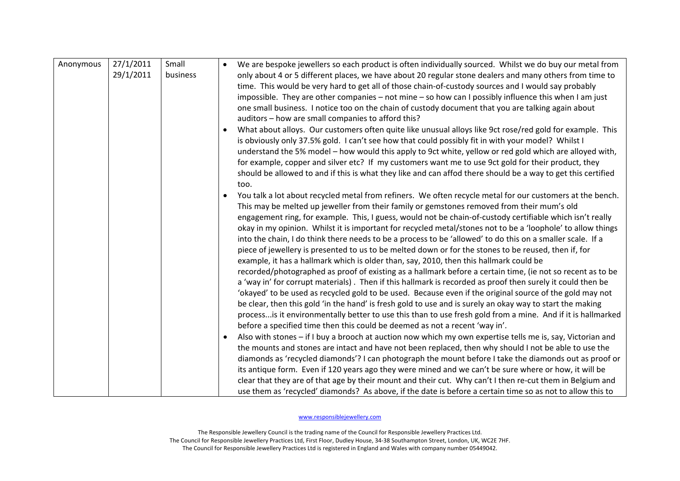| Anonymous | 27/1/2011<br>29/1/2011 | Small<br>business |           | We are bespoke jewellers so each product is often individually sourced. Whilst we do buy our metal from<br>only about 4 or 5 different places, we have about 20 regular stone dealers and many others from time to<br>time. This would be very hard to get all of those chain-of-custody sources and I would say probably<br>impossible. They are other companies – not mine – so how can I possibly influence this when I am just                                                                                                                                                                                                                                                                                                                                                                                                                                                                                                                                                                                                                                                                                                                                                                                                                                                                                                                                                                                                                                                                                    |
|-----------|------------------------|-------------------|-----------|-----------------------------------------------------------------------------------------------------------------------------------------------------------------------------------------------------------------------------------------------------------------------------------------------------------------------------------------------------------------------------------------------------------------------------------------------------------------------------------------------------------------------------------------------------------------------------------------------------------------------------------------------------------------------------------------------------------------------------------------------------------------------------------------------------------------------------------------------------------------------------------------------------------------------------------------------------------------------------------------------------------------------------------------------------------------------------------------------------------------------------------------------------------------------------------------------------------------------------------------------------------------------------------------------------------------------------------------------------------------------------------------------------------------------------------------------------------------------------------------------------------------------|
|           |                        |                   |           | one small business. I notice too on the chain of custody document that you are talking again about<br>auditors - how are small companies to afford this?                                                                                                                                                                                                                                                                                                                                                                                                                                                                                                                                                                                                                                                                                                                                                                                                                                                                                                                                                                                                                                                                                                                                                                                                                                                                                                                                                              |
|           |                        |                   |           | What about alloys. Our customers often quite like unusual alloys like 9ct rose/red gold for example. This<br>is obviously only 37.5% gold. I can't see how that could possibly fit in with your model? Whilst I<br>understand the 5% model - how would this apply to 9ct white, yellow or red gold which are alloyed with,<br>for example, copper and silver etc? If my customers want me to use 9ct gold for their product, they<br>should be allowed to and if this is what they like and can affod there should be a way to get this certified<br>too.                                                                                                                                                                                                                                                                                                                                                                                                                                                                                                                                                                                                                                                                                                                                                                                                                                                                                                                                                             |
|           |                        |                   | $\bullet$ | You talk a lot about recycled metal from refiners. We often recycle metal for our customers at the bench.<br>This may be melted up jeweller from their family or gemstones removed from their mum's old<br>engagement ring, for example. This, I guess, would not be chain-of-custody certifiable which isn't really<br>okay in my opinion. Whilst it is important for recycled metal/stones not to be a 'loophole' to allow things<br>into the chain, I do think there needs to be a process to be 'allowed' to do this on a smaller scale. If a<br>piece of jewellery is presented to us to be melted down or for the stones to be reused, then if, for<br>example, it has a hallmark which is older than, say, 2010, then this hallmark could be<br>recorded/photographed as proof of existing as a hallmark before a certain time, (ie not so recent as to be<br>a 'way in' for corrupt materials). Then if this hallmark is recorded as proof then surely it could then be<br>'okayed' to be used as recycled gold to be used. Because even if the original source of the gold may not<br>be clear, then this gold 'in the hand' is fresh gold to use and is surely an okay way to start the making<br>process is it environmentally better to use this than to use fresh gold from a mine. And if it is hallmarked<br>before a specified time then this could be deemed as not a recent 'way in'.<br>Also with stones - if I buy a brooch at auction now which my own expertise tells me is, say, Victorian and |
|           |                        |                   |           | the mounts and stones are intact and have not been replaced, then why should I not be able to use the<br>diamonds as 'recycled diamonds'? I can photograph the mount before I take the diamonds out as proof or<br>its antique form. Even if 120 years ago they were mined and we can't be sure where or how, it will be<br>clear that they are of that age by their mount and their cut. Why can't I then re-cut them in Belgium and<br>use them as 'recycled' diamonds? As above, if the date is before a certain time so as not to allow this to                                                                                                                                                                                                                                                                                                                                                                                                                                                                                                                                                                                                                                                                                                                                                                                                                                                                                                                                                                   |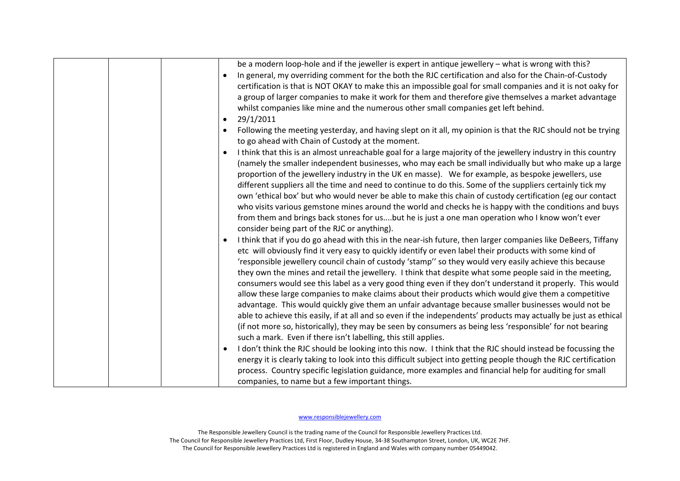| be a modern loop-hole and if the jeweller is expert in antique jewellery - what is wrong with this?<br>In general, my overriding comment for the both the RJC certification and also for the Chain-of-Custody<br>certification is that is NOT OKAY to make this an impossible goal for small companies and it is not oaky for<br>a group of larger companies to make it work for them and therefore give themselves a market advantage<br>whilst companies like mine and the numerous other small companies get left behind.<br>29/1/2011<br>$\bullet$<br>Following the meeting yesterday, and having slept on it all, my opinion is that the RJC should not be trying<br>to go ahead with Chain of Custody at the moment.<br>I think that this is an almost unreachable goal for a large majority of the jewellery industry in this country<br>(namely the smaller independent businesses, who may each be small individually but who make up a large<br>proportion of the jewellery industry in the UK en masse). We for example, as bespoke jewellers, use<br>different suppliers all the time and need to continue to do this. Some of the suppliers certainly tick my<br>own 'ethical box' but who would never be able to make this chain of custody certification (eg our contact<br>who visits various gemstone mines around the world and checks he is happy with the conditions and buys<br>from them and brings back stones for usbut he is just a one man operation who I know won't ever<br>consider being part of the RJC or anything).<br>I think that if you do go ahead with this in the near-ish future, then larger companies like DeBeers, Tiffany<br>$\bullet$<br>etc will obviously find it very easy to quickly identify or even label their products with some kind of<br>'responsible jewellery council chain of custody 'stamp'' so they would very easily achieve this because<br>they own the mines and retail the jewellery. I think that despite what some people said in the meeting,<br>consumers would see this label as a very good thing even if they don't understand it properly. This would<br>allow these large companies to make claims about their products which would give them a competitive<br>advantage. This would quickly give them an unfair advantage because smaller businesses would not be<br>able to achieve this easily, if at all and so even if the independents' products may actually be just as ethical<br>(if not more so, historically), they may be seen by consumers as being less 'responsible' for not bearing |
|---------------------------------------------------------------------------------------------------------------------------------------------------------------------------------------------------------------------------------------------------------------------------------------------------------------------------------------------------------------------------------------------------------------------------------------------------------------------------------------------------------------------------------------------------------------------------------------------------------------------------------------------------------------------------------------------------------------------------------------------------------------------------------------------------------------------------------------------------------------------------------------------------------------------------------------------------------------------------------------------------------------------------------------------------------------------------------------------------------------------------------------------------------------------------------------------------------------------------------------------------------------------------------------------------------------------------------------------------------------------------------------------------------------------------------------------------------------------------------------------------------------------------------------------------------------------------------------------------------------------------------------------------------------------------------------------------------------------------------------------------------------------------------------------------------------------------------------------------------------------------------------------------------------------------------------------------------------------------------------------------------------------------------------------------------------------------------------------------------------------------------------------------------------------------------------------------------------------------------------------------------------------------------------------------------------------------------------------------------------------------------------------------------------------------------------------------------------------------------------------------------------------------------------------------------------------------------|
| such a mark. Even if there isn't labelling, this still applies.                                                                                                                                                                                                                                                                                                                                                                                                                                                                                                                                                                                                                                                                                                                                                                                                                                                                                                                                                                                                                                                                                                                                                                                                                                                                                                                                                                                                                                                                                                                                                                                                                                                                                                                                                                                                                                                                                                                                                                                                                                                                                                                                                                                                                                                                                                                                                                                                                                                                                                                 |
| I don't think the RJC should be looking into this now. I think that the RJC should instead be focussing the<br>energy it is clearly taking to look into this difficult subject into getting people though the RJC certification<br>process. Country specific legislation guidance, more examples and financial help for auditing for small                                                                                                                                                                                                                                                                                                                                                                                                                                                                                                                                                                                                                                                                                                                                                                                                                                                                                                                                                                                                                                                                                                                                                                                                                                                                                                                                                                                                                                                                                                                                                                                                                                                                                                                                                                                                                                                                                                                                                                                                                                                                                                                                                                                                                                      |
| companies, to name but a few important things.                                                                                                                                                                                                                                                                                                                                                                                                                                                                                                                                                                                                                                                                                                                                                                                                                                                                                                                                                                                                                                                                                                                                                                                                                                                                                                                                                                                                                                                                                                                                                                                                                                                                                                                                                                                                                                                                                                                                                                                                                                                                                                                                                                                                                                                                                                                                                                                                                                                                                                                                  |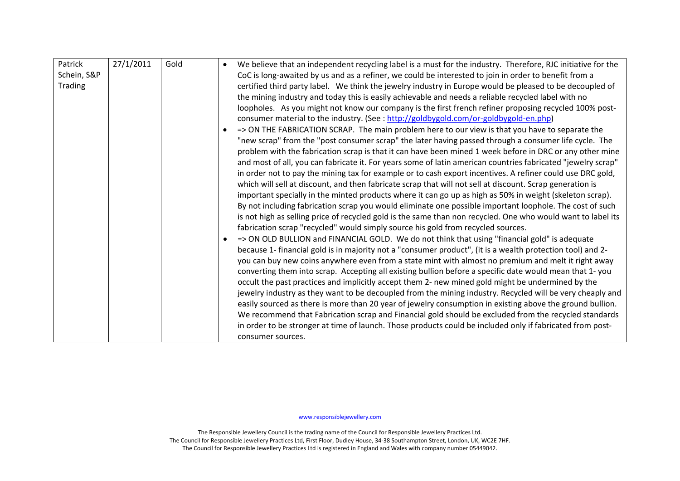| Patrick     | 27/1/2011 | Gold | $\bullet$ | We believe that an independent recycling label is a must for the industry. Therefore, RJC initiative for the |
|-------------|-----------|------|-----------|--------------------------------------------------------------------------------------------------------------|
| Schein, S&P |           |      |           | CoC is long-awaited by us and as a refiner, we could be interested to join in order to benefit from a        |
| Trading     |           |      |           | certified third party label. We think the jewelry industry in Europe would be pleased to be decoupled of     |
|             |           |      |           | the mining industry and today this is easily achievable and needs a reliable recycled label with no          |
|             |           |      |           | loopholes. As you might not know our company is the first french refiner proposing recycled 100% post-       |
|             |           |      |           | consumer material to the industry. (See : http://goldbygold.com/or-goldbygold-en.php)                        |
|             |           |      | $\bullet$ | => ON THE FABRICATION SCRAP. The main problem here to our view is that you have to separate the              |
|             |           |      |           | "new scrap" from the "post consumer scrap" the later having passed through a consumer life cycle. The        |
|             |           |      |           | problem with the fabrication scrap is that it can have been mined 1 week before in DRC or any other mine     |
|             |           |      |           | and most of all, you can fabricate it. For years some of latin american countries fabricated "jewelry scrap" |
|             |           |      |           | in order not to pay the mining tax for example or to cash export incentives. A refiner could use DRC gold,   |
|             |           |      |           | which will sell at discount, and then fabricate scrap that will not sell at discount. Scrap generation is    |
|             |           |      |           | important specially in the minted products where it can go up as high as 50% in weight (skeleton scrap).     |
|             |           |      |           |                                                                                                              |
|             |           |      |           | By not including fabrication scrap you would eliminate one possible important loophole. The cost of such     |
|             |           |      |           | is not high as selling price of recycled gold is the same than non recycled. One who would want to label its |
|             |           |      |           | fabrication scrap "recycled" would simply source his gold from recycled sources.                             |
|             |           |      |           | => ON OLD BULLION and FINANCIAL GOLD. We do not think that using "financial gold" is adequate                |
|             |           |      |           | because 1- financial gold is in majority not a "consumer product", (it is a wealth protection tool) and 2-   |
|             |           |      |           | you can buy new coins anywhere even from a state mint with almost no premium and melt it right away          |
|             |           |      |           | converting them into scrap. Accepting all existing bullion before a specific date would mean that 1-you      |
|             |           |      |           | occult the past practices and implicitly accept them 2- new mined gold might be undermined by the            |
|             |           |      |           | jewelry industry as they want to be decoupled from the mining industry. Recycled will be very cheaply and    |
|             |           |      |           | easily sourced as there is more than 20 year of jewelry consumption in existing above the ground bullion.    |
|             |           |      |           |                                                                                                              |
|             |           |      |           | We recommend that Fabrication scrap and Financial gold should be excluded from the recycled standards        |
|             |           |      |           | in order to be stronger at time of launch. Those products could be included only if fabricated from post-    |
|             |           |      |           | consumer sources.                                                                                            |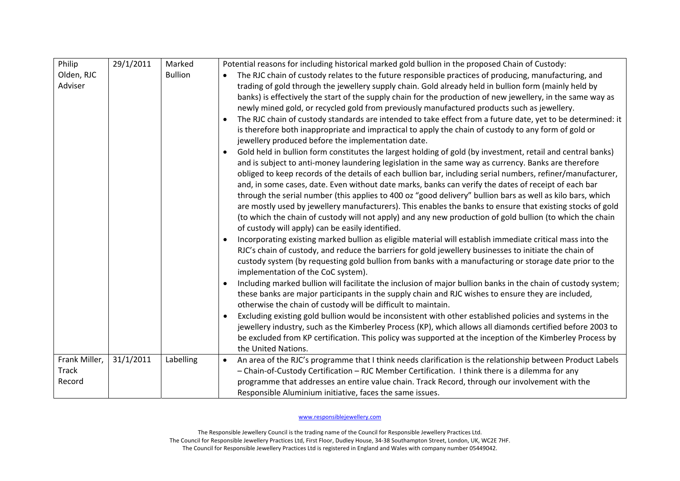| Philip        | 29/1/2011 | Marked         | Potential reasons for including historical marked gold bullion in the proposed Chain of Custody:                           |
|---------------|-----------|----------------|----------------------------------------------------------------------------------------------------------------------------|
| Olden, RJC    |           | <b>Bullion</b> | The RJC chain of custody relates to the future responsible practices of producing, manufacturing, and                      |
| Adviser       |           |                | trading of gold through the jewellery supply chain. Gold already held in bullion form (mainly held by                      |
|               |           |                | banks) is effectively the start of the supply chain for the production of new jewellery, in the same way as                |
|               |           |                | newly mined gold, or recycled gold from previously manufactured products such as jewellery.                                |
|               |           |                | The RJC chain of custody standards are intended to take effect from a future date, yet to be determined: it<br>$\bullet$   |
|               |           |                | is therefore both inappropriate and impractical to apply the chain of custody to any form of gold or                       |
|               |           |                | jewellery produced before the implementation date.                                                                         |
|               |           |                | Gold held in bullion form constitutes the largest holding of gold (by investment, retail and central banks)                |
|               |           |                | and is subject to anti-money laundering legislation in the same way as currency. Banks are therefore                       |
|               |           |                | obliged to keep records of the details of each bullion bar, including serial numbers, refiner/manufacturer,                |
|               |           |                | and, in some cases, date. Even without date marks, banks can verify the dates of receipt of each bar                       |
|               |           |                | through the serial number (this applies to 400 oz "good delivery" bullion bars as well as kilo bars, which                 |
|               |           |                | are mostly used by jewellery manufacturers). This enables the banks to ensure that existing stocks of gold                 |
|               |           |                | (to which the chain of custody will not apply) and any new production of gold bullion (to which the chain                  |
|               |           |                | of custody will apply) can be easily identified.                                                                           |
|               |           |                | Incorporating existing marked bullion as eligible material will establish immediate critical mass into the                 |
|               |           |                | RJC's chain of custody, and reduce the barriers for gold jewellery businesses to initiate the chain of                     |
|               |           |                | custody system (by requesting gold bullion from banks with a manufacturing or storage date prior to the                    |
|               |           |                | implementation of the CoC system).                                                                                         |
|               |           |                | Including marked bullion will facilitate the inclusion of major bullion banks in the chain of custody system;<br>$\bullet$ |
|               |           |                | these banks are major participants in the supply chain and RJC wishes to ensure they are included,                         |
|               |           |                | otherwise the chain of custody will be difficult to maintain.                                                              |
|               |           |                | Excluding existing gold bullion would be inconsistent with other established policies and systems in the                   |
|               |           |                | jewellery industry, such as the Kimberley Process (KP), which allows all diamonds certified before 2003 to                 |
|               |           |                | be excluded from KP certification. This policy was supported at the inception of the Kimberley Process by                  |
|               |           |                | the United Nations.                                                                                                        |
| Frank Miller, | 31/1/2011 | Labelling      | An area of the RJC's programme that I think needs clarification is the relationship between Product Labels<br>$\bullet$    |
| <b>Track</b>  |           |                | - Chain-of-Custody Certification - RJC Member Certification. I think there is a dilemma for any                            |
| Record        |           |                | programme that addresses an entire value chain. Track Record, through our involvement with the                             |
|               |           |                | Responsible Aluminium initiative, faces the same issues.                                                                   |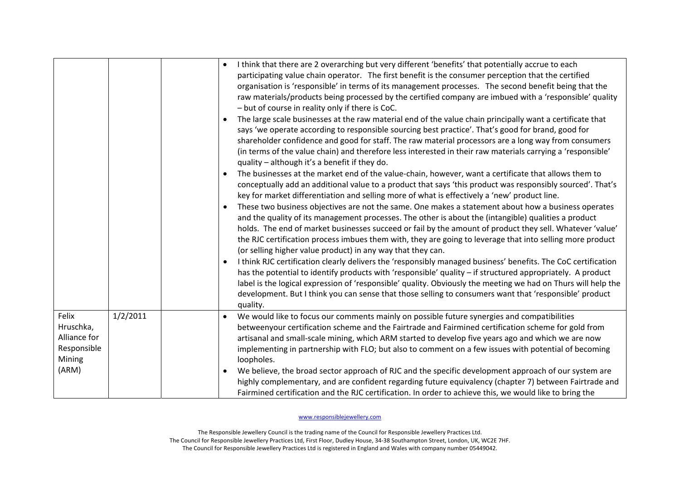|                                                                      |          | $\bullet$<br>$\bullet$ | I think that there are 2 overarching but very different 'benefits' that potentially accrue to each<br>participating value chain operator. The first benefit is the consumer perception that the certified<br>organisation is 'responsible' in terms of its management processes. The second benefit being that the<br>raw materials/products being processed by the certified company are imbued with a 'responsible' quality<br>- but of course in reality only if there is CoC.<br>The large scale businesses at the raw material end of the value chain principally want a certificate that<br>says 'we operate according to responsible sourcing best practice'. That's good for brand, good for<br>shareholder confidence and good for staff. The raw material processors are a long way from consumers<br>(in terms of the value chain) and therefore less interested in their raw materials carrying a 'responsible'<br>quality - although it's a benefit if they do.<br>The businesses at the market end of the value-chain, however, want a certificate that allows them to<br>conceptually add an additional value to a product that says 'this product was responsibly sourced'. That's<br>key for market differentiation and selling more of what is effectively a 'new' product line.<br>These two business objectives are not the same. One makes a statement about how a business operates<br>and the quality of its management processes. The other is about the (intangible) qualities a product<br>holds. The end of market businesses succeed or fail by the amount of product they sell. Whatever 'value'<br>the RJC certification process imbues them with, they are going to leverage that into selling more product<br>(or selling higher value product) in any way that they can.<br>I think RJC certification clearly delivers the 'responsibly managed business' benefits. The CoC certification<br>has the potential to identify products with 'responsible' quality - if structured appropriately. A product<br>label is the logical expression of 'responsible' quality. Obviously the meeting we had on Thurs will help the<br>development. But I think you can sense that those selling to consumers want that 'responsible' product<br>quality. |
|----------------------------------------------------------------------|----------|------------------------|---------------------------------------------------------------------------------------------------------------------------------------------------------------------------------------------------------------------------------------------------------------------------------------------------------------------------------------------------------------------------------------------------------------------------------------------------------------------------------------------------------------------------------------------------------------------------------------------------------------------------------------------------------------------------------------------------------------------------------------------------------------------------------------------------------------------------------------------------------------------------------------------------------------------------------------------------------------------------------------------------------------------------------------------------------------------------------------------------------------------------------------------------------------------------------------------------------------------------------------------------------------------------------------------------------------------------------------------------------------------------------------------------------------------------------------------------------------------------------------------------------------------------------------------------------------------------------------------------------------------------------------------------------------------------------------------------------------------------------------------------------------------------------------------------------------------------------------------------------------------------------------------------------------------------------------------------------------------------------------------------------------------------------------------------------------------------------------------------------------------------------------------------------------------------------------------------------------------------------------------------------------------------------|
| Felix<br>Hruschka,<br>Alliance for<br>Responsible<br>Mining<br>(ARM) | 1/2/2011 | $\bullet$              | We would like to focus our comments mainly on possible future synergies and compatibilities<br>betweenyour certification scheme and the Fairtrade and Fairmined certification scheme for gold from<br>artisanal and small-scale mining, which ARM started to develop five years ago and which we are now<br>implementing in partnership with FLO; but also to comment on a few issues with potential of becoming<br>loopholes.<br>We believe, the broad sector approach of RJC and the specific development approach of our system are<br>highly complementary, and are confident regarding future equivalency (chapter 7) between Fairtrade and<br>Fairmined certification and the RJC certification. In order to achieve this, we would like to bring the                                                                                                                                                                                                                                                                                                                                                                                                                                                                                                                                                                                                                                                                                                                                                                                                                                                                                                                                                                                                                                                                                                                                                                                                                                                                                                                                                                                                                                                                                                                     |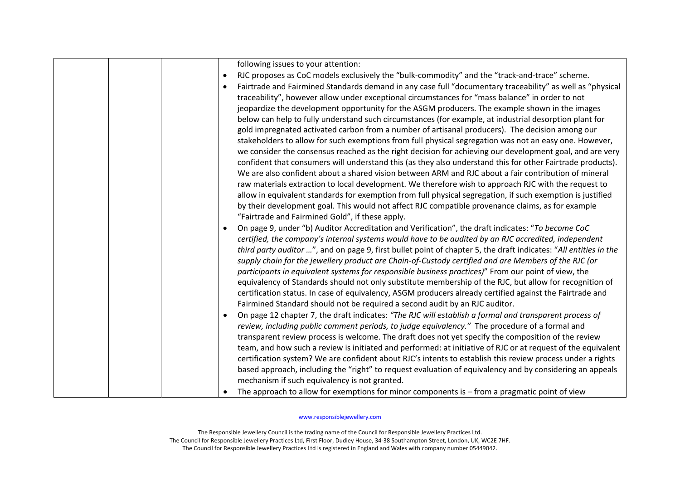|           | following issues to your attention:                                                                                                                                                                                                                                                                                                                                                                                                                                                                                                                                                                                                                                                                                                                                                                                                                |
|-----------|----------------------------------------------------------------------------------------------------------------------------------------------------------------------------------------------------------------------------------------------------------------------------------------------------------------------------------------------------------------------------------------------------------------------------------------------------------------------------------------------------------------------------------------------------------------------------------------------------------------------------------------------------------------------------------------------------------------------------------------------------------------------------------------------------------------------------------------------------|
| $\bullet$ | RJC proposes as CoC models exclusively the "bulk-commodity" and the "track-and-trace" scheme.                                                                                                                                                                                                                                                                                                                                                                                                                                                                                                                                                                                                                                                                                                                                                      |
|           | Fairtrade and Fairmined Standards demand in any case full "documentary traceability" as well as "physical<br>traceability", however allow under exceptional circumstances for "mass balance" in order to not<br>jeopardize the development opportunity for the ASGM producers. The example shown in the images<br>below can help to fully understand such circumstances (for example, at industrial desorption plant for<br>gold impregnated activated carbon from a number of artisanal producers). The decision among our<br>stakeholders to allow for such exemptions from full physical segregation was not an easy one. However,<br>we consider the consensus reached as the right decision for achieving our development goal, and are very                                                                                                  |
|           | confident that consumers will understand this (as they also understand this for other Fairtrade products).                                                                                                                                                                                                                                                                                                                                                                                                                                                                                                                                                                                                                                                                                                                                         |
|           | We are also confident about a shared vision between ARM and RJC about a fair contribution of mineral<br>raw materials extraction to local development. We therefore wish to approach RJC with the request to<br>allow in equivalent standards for exemption from full physical segregation, if such exemption is justified<br>by their development goal. This would not affect RJC compatible provenance claims, as for example<br>"Fairtrade and Fairmined Gold", if these apply.                                                                                                                                                                                                                                                                                                                                                                 |
|           | On page 9, under "b) Auditor Accreditation and Verification", the draft indicates: "To become CoC<br>certified, the company's internal systems would have to be audited by an RJC accredited, independent<br>third party auditor ", and on page 9, first bullet point of chapter 5, the draft indicates: "All entities in the<br>supply chain for the jewellery product are Chain-of-Custody certified and are Members of the RJC (or<br>participants in equivalent systems for responsible business practices)" From our point of view, the<br>equivalency of Standards should not only substitute membership of the RJC, but allow for recognition of<br>certification status. In case of equivalency, ASGM producers already certified against the Fairtrade and<br>Fairmined Standard should not be required a second audit by an RJC auditor. |
|           | On page 12 chapter 7, the draft indicates: "The RJC will establish a formal and transparent process of                                                                                                                                                                                                                                                                                                                                                                                                                                                                                                                                                                                                                                                                                                                                             |
|           | review, including public comment periods, to judge equivalency." The procedure of a formal and                                                                                                                                                                                                                                                                                                                                                                                                                                                                                                                                                                                                                                                                                                                                                     |
|           | transparent review process is welcome. The draft does not yet specify the composition of the review<br>team, and how such a review is initiated and performed: at initiative of RJC or at request of the equivalent                                                                                                                                                                                                                                                                                                                                                                                                                                                                                                                                                                                                                                |
|           | certification system? We are confident about RJC's intents to establish this review process under a rights                                                                                                                                                                                                                                                                                                                                                                                                                                                                                                                                                                                                                                                                                                                                         |
|           | based approach, including the "right" to request evaluation of equivalency and by considering an appeals<br>mechanism if such equivalency is not granted.                                                                                                                                                                                                                                                                                                                                                                                                                                                                                                                                                                                                                                                                                          |
|           | The approach to allow for exemptions for minor components is $-$ from a pragmatic point of view                                                                                                                                                                                                                                                                                                                                                                                                                                                                                                                                                                                                                                                                                                                                                    |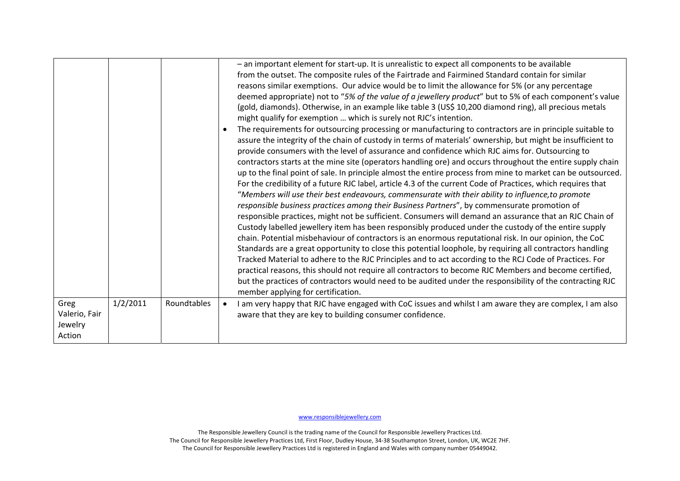|                                                        | $\bullet$                | - an important element for start-up. It is unrealistic to expect all components to be available<br>from the outset. The composite rules of the Fairtrade and Fairmined Standard contain for similar<br>reasons similar exemptions. Our advice would be to limit the allowance for 5% (or any percentage<br>deemed appropriate) not to "5% of the value of a jewellery product" but to 5% of each component's value<br>(gold, diamonds). Otherwise, in an example like table 3 (US\$ 10,200 diamond ring), all precious metals<br>might qualify for exemption  which is surely not RJC's intention.<br>The requirements for outsourcing processing or manufacturing to contractors are in principle suitable to<br>assure the integrity of the chain of custody in terms of materials' ownership, but might be insufficient to<br>provide consumers with the level of assurance and confidence which RJC aims for. Outsourcing to<br>contractors starts at the mine site (operators handling ore) and occurs throughout the entire supply chain<br>up to the final point of sale. In principle almost the entire process from mine to market can be outsourced.<br>For the credibility of a future RJC label, article 4.3 of the current Code of Practices, which requires that<br>"Members will use their best endeavours, commensurate with their ability to influence, to promote<br>responsible business practices among their Business Partners", by commensurate promotion of<br>responsible practices, might not be sufficient. Consumers will demand an assurance that an RJC Chain of<br>Custody labelled jewellery item has been responsibly produced under the custody of the entire supply<br>chain. Potential misbehaviour of contractors is an enormous reputational risk. In our opinion, the CoC<br>Standards are a great opportunity to close this potential loophole, by requiring all contractors handling<br>Tracked Material to adhere to the RJC Principles and to act according to the RCJ Code of Practices. For<br>practical reasons, this should not require all contractors to become RJC Members and become certified,<br>but the practices of contractors would need to be audited under the responsibility of the contracting RJC<br>member applying for certification. |
|--------------------------------------------------------|--------------------------|------------------------------------------------------------------------------------------------------------------------------------------------------------------------------------------------------------------------------------------------------------------------------------------------------------------------------------------------------------------------------------------------------------------------------------------------------------------------------------------------------------------------------------------------------------------------------------------------------------------------------------------------------------------------------------------------------------------------------------------------------------------------------------------------------------------------------------------------------------------------------------------------------------------------------------------------------------------------------------------------------------------------------------------------------------------------------------------------------------------------------------------------------------------------------------------------------------------------------------------------------------------------------------------------------------------------------------------------------------------------------------------------------------------------------------------------------------------------------------------------------------------------------------------------------------------------------------------------------------------------------------------------------------------------------------------------------------------------------------------------------------------------------------------------------------------------------------------------------------------------------------------------------------------------------------------------------------------------------------------------------------------------------------------------------------------------------------------------------------------------------------------------------------------------------------------------------------------------------------------------------------------------------------------------------|
| 1/2/2011<br>Greg<br>Valerio, Fair<br>Jewelry<br>Action | Roundtables<br>$\bullet$ | I am very happy that RJC have engaged with CoC issues and whilst I am aware they are complex, I am also<br>aware that they are key to building consumer confidence.                                                                                                                                                                                                                                                                                                                                                                                                                                                                                                                                                                                                                                                                                                                                                                                                                                                                                                                                                                                                                                                                                                                                                                                                                                                                                                                                                                                                                                                                                                                                                                                                                                                                                                                                                                                                                                                                                                                                                                                                                                                                                                                                  |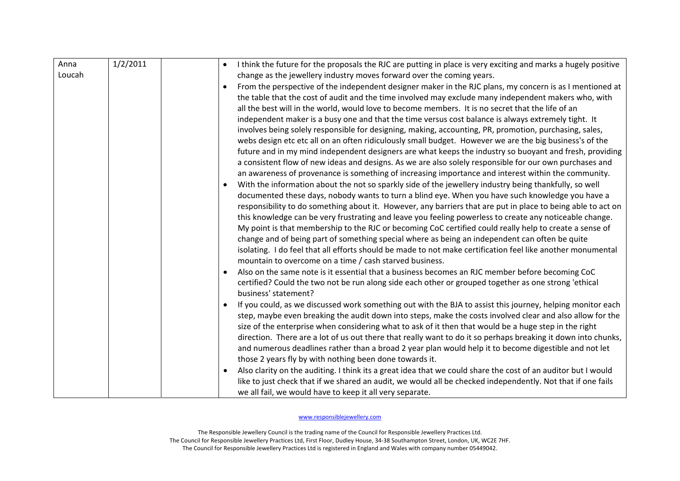| Anna   | 1/2/2011 | I think the future for the proposals the RJC are putting in place is very exciting and marks a hugely positive                                                                                                                                                                                                                                                                                                                                                                                                                                                                                                                                                                                                                                                                                                                                                                                                                                                                                                                                                                                                                                                                                                                                                                                               |
|--------|----------|--------------------------------------------------------------------------------------------------------------------------------------------------------------------------------------------------------------------------------------------------------------------------------------------------------------------------------------------------------------------------------------------------------------------------------------------------------------------------------------------------------------------------------------------------------------------------------------------------------------------------------------------------------------------------------------------------------------------------------------------------------------------------------------------------------------------------------------------------------------------------------------------------------------------------------------------------------------------------------------------------------------------------------------------------------------------------------------------------------------------------------------------------------------------------------------------------------------------------------------------------------------------------------------------------------------|
| Loucah |          | change as the jewellery industry moves forward over the coming years.                                                                                                                                                                                                                                                                                                                                                                                                                                                                                                                                                                                                                                                                                                                                                                                                                                                                                                                                                                                                                                                                                                                                                                                                                                        |
|        |          | From the perspective of the independent designer maker in the RJC plans, my concern is as I mentioned at<br>the table that the cost of audit and the time involved may exclude many independent makers who, with<br>all the best will in the world, would love to become members. It is no secret that the life of an<br>independent maker is a busy one and that the time versus cost balance is always extremely tight. It<br>involves being solely responsible for designing, making, accounting, PR, promotion, purchasing, sales,<br>webs design etc etc all on an often ridiculously small budget. However we are the big business's of the<br>future and in my mind independent designers are what keeps the industry so buoyant and fresh, providing<br>a consistent flow of new ideas and designs. As we are also solely responsible for our own purchases and<br>an awareness of provenance is something of increasing importance and interest within the community.<br>With the information about the not so sparkly side of the jewellery industry being thankfully, so well<br>documented these days, nobody wants to turn a blind eye. When you have such knowledge you have a<br>responsibility to do something about it. However, any barriers that are put in place to being able to act on |
|        |          | this knowledge can be very frustrating and leave you feeling powerless to create any noticeable change.<br>My point is that membership to the RJC or becoming CoC certified could really help to create a sense of<br>change and of being part of something special where as being an independent can often be quite<br>isolating. I do feel that all efforts should be made to not make certification feel like another monumental<br>mountain to overcome on a time / cash starved business.                                                                                                                                                                                                                                                                                                                                                                                                                                                                                                                                                                                                                                                                                                                                                                                                               |
|        |          | Also on the same note is it essential that a business becomes an RJC member before becoming CoC<br>certified? Could the two not be run along side each other or grouped together as one strong 'ethical<br>business' statement?                                                                                                                                                                                                                                                                                                                                                                                                                                                                                                                                                                                                                                                                                                                                                                                                                                                                                                                                                                                                                                                                              |
|        |          | If you could, as we discussed work something out with the BJA to assist this journey, helping monitor each<br>step, maybe even breaking the audit down into steps, make the costs involved clear and also allow for the<br>size of the enterprise when considering what to ask of it then that would be a huge step in the right<br>direction. There are a lot of us out there that really want to do it so perhaps breaking it down into chunks,<br>and numerous deadlines rather than a broad 2 year plan would help it to become digestible and not let<br>those 2 years fly by with nothing been done towards it.                                                                                                                                                                                                                                                                                                                                                                                                                                                                                                                                                                                                                                                                                        |
|        |          | Also clarity on the auditing. I think its a great idea that we could share the cost of an auditor but I would<br>$\bullet$<br>like to just check that if we shared an audit, we would all be checked independently. Not that if one fails<br>we all fail, we would have to keep it all very separate.                                                                                                                                                                                                                                                                                                                                                                                                                                                                                                                                                                                                                                                                                                                                                                                                                                                                                                                                                                                                        |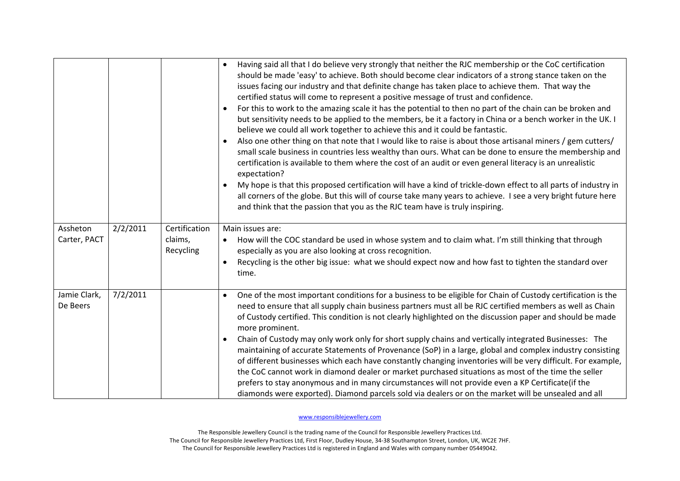|                                      |                      | Having said all that I do believe very strongly that neither the RJC membership or the CoC certification<br>$\bullet$<br>should be made 'easy' to achieve. Both should become clear indicators of a strong stance taken on the<br>issues facing our industry and that definite change has taken place to achieve them. That way the<br>certified status will come to represent a positive message of trust and confidence.<br>For this to work to the amazing scale it has the potential to then no part of the chain can be broken and<br>$\bullet$<br>but sensitivity needs to be applied to the members, be it a factory in China or a bench worker in the UK. I<br>believe we could all work together to achieve this and it could be fantastic.<br>Also one other thing on that note that I would like to raise is about those artisanal miners / gem cutters/<br>$\bullet$<br>small scale business in countries less wealthy than ours. What can be done to ensure the membership and<br>certification is available to them where the cost of an audit or even general literacy is an unrealistic<br>expectation?<br>My hope is that this proposed certification will have a kind of trickle-down effect to all parts of industry in<br>$\bullet$<br>all corners of the globe. But this will of course take many years to achieve. I see a very bright future here<br>and think that the passion that you as the RJC team have is truly inspiring. |
|--------------------------------------|----------------------|----------------------------------------------------------------------------------------------------------------------------------------------------------------------------------------------------------------------------------------------------------------------------------------------------------------------------------------------------------------------------------------------------------------------------------------------------------------------------------------------------------------------------------------------------------------------------------------------------------------------------------------------------------------------------------------------------------------------------------------------------------------------------------------------------------------------------------------------------------------------------------------------------------------------------------------------------------------------------------------------------------------------------------------------------------------------------------------------------------------------------------------------------------------------------------------------------------------------------------------------------------------------------------------------------------------------------------------------------------------------------------------------------------------------------------------------------------|
| 2/2/2011<br>Assheton                 | Certification        | Main issues are:                                                                                                                                                                                                                                                                                                                                                                                                                                                                                                                                                                                                                                                                                                                                                                                                                                                                                                                                                                                                                                                                                                                                                                                                                                                                                                                                                                                                                                         |
| Carter, PACT                         | claims,<br>Recycling | How will the COC standard be used in whose system and to claim what. I'm still thinking that through<br>especially as you are also looking at cross recognition.                                                                                                                                                                                                                                                                                                                                                                                                                                                                                                                                                                                                                                                                                                                                                                                                                                                                                                                                                                                                                                                                                                                                                                                                                                                                                         |
|                                      |                      | Recycling is the other big issue: what we should expect now and how fast to tighten the standard over<br>$\bullet$<br>time.                                                                                                                                                                                                                                                                                                                                                                                                                                                                                                                                                                                                                                                                                                                                                                                                                                                                                                                                                                                                                                                                                                                                                                                                                                                                                                                              |
| 7/2/2011<br>Jamie Clark,<br>De Beers |                      | One of the most important conditions for a business to be eligible for Chain of Custody certification is the<br>$\bullet$<br>need to ensure that all supply chain business partners must all be RJC certified members as well as Chain<br>of Custody certified. This condition is not clearly highlighted on the discussion paper and should be made<br>more prominent.                                                                                                                                                                                                                                                                                                                                                                                                                                                                                                                                                                                                                                                                                                                                                                                                                                                                                                                                                                                                                                                                                  |
|                                      |                      | Chain of Custody may only work only for short supply chains and vertically integrated Businesses: The<br>$\bullet$<br>maintaining of accurate Statements of Provenance (SoP) in a large, global and complex industry consisting<br>of different businesses which each have constantly changing inventories will be very difficult. For example,<br>the CoC cannot work in diamond dealer or market purchased situations as most of the time the seller<br>prefers to stay anonymous and in many circumstances will not provide even a KP Certificate(if the<br>diamonds were exported). Diamond parcels sold via dealers or on the market will be unsealed and all                                                                                                                                                                                                                                                                                                                                                                                                                                                                                                                                                                                                                                                                                                                                                                                       |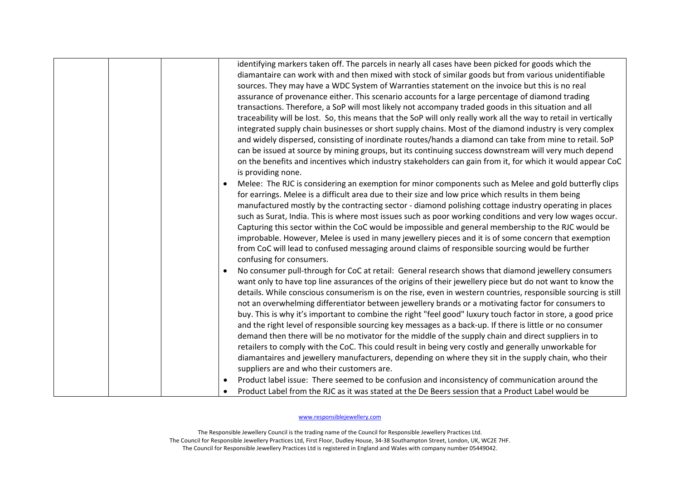|  |  | identifying markers taken off. The parcels in nearly all cases have been picked for goods which the<br>diamantaire can work with and then mixed with stock of similar goods but from various unidentifiable<br>sources. They may have a WDC System of Warranties statement on the invoice but this is no real<br>assurance of provenance either. This scenario accounts for a large percentage of diamond trading<br>transactions. Therefore, a SoP will most likely not accompany traded goods in this situation and all<br>traceability will be lost. So, this means that the SoP will only really work all the way to retail in vertically<br>integrated supply chain businesses or short supply chains. Most of the diamond industry is very complex<br>and widely dispersed, consisting of inordinate routes/hands a diamond can take from mine to retail. SoP<br>can be issued at source by mining groups, but its continuing success downstream will very much depend<br>on the benefits and incentives which industry stakeholders can gain from it, for which it would appear CoC<br>is providing none.<br>Melee: The RJC is considering an exemption for minor components such as Melee and gold butterfly clips |
|--|--|----------------------------------------------------------------------------------------------------------------------------------------------------------------------------------------------------------------------------------------------------------------------------------------------------------------------------------------------------------------------------------------------------------------------------------------------------------------------------------------------------------------------------------------------------------------------------------------------------------------------------------------------------------------------------------------------------------------------------------------------------------------------------------------------------------------------------------------------------------------------------------------------------------------------------------------------------------------------------------------------------------------------------------------------------------------------------------------------------------------------------------------------------------------------------------------------------------------------------|
|  |  | for earrings. Melee is a difficult area due to their size and low price which results in them being<br>manufactured mostly by the contracting sector - diamond polishing cottage industry operating in places<br>such as Surat, India. This is where most issues such as poor working conditions and very low wages occur.<br>Capturing this sector within the CoC would be impossible and general membership to the RJC would be<br>improbable. However, Melee is used in many jewellery pieces and it is of some concern that exemption<br>from CoC will lead to confused messaging around claims of responsible sourcing would be further<br>confusing for consumers.                                                                                                                                                                                                                                                                                                                                                                                                                                                                                                                                                   |
|  |  | No consumer pull-through for CoC at retail: General research shows that diamond jewellery consumers<br>want only to have top line assurances of the origins of their jewellery piece but do not want to know the<br>details. While conscious consumerism is on the rise, even in western countries, responsible sourcing is still<br>not an overwhelming differentiator between jewellery brands or a motivating factor for consumers to<br>buy. This is why it's important to combine the right "feel good" luxury touch factor in store, a good price<br>and the right level of responsible sourcing key messages as a back-up. If there is little or no consumer<br>demand then there will be no motivator for the middle of the supply chain and direct suppliers in to<br>retailers to comply with the CoC. This could result in being very costly and generally unworkable for<br>diamantaires and jewellery manufacturers, depending on where they sit in the supply chain, who their<br>suppliers are and who their customers are.<br>Product label issue: There seemed to be confusion and inconsistency of communication around the                                                                              |
|  |  | Product Label from the RJC as it was stated at the De Beers session that a Product Label would be                                                                                                                                                                                                                                                                                                                                                                                                                                                                                                                                                                                                                                                                                                                                                                                                                                                                                                                                                                                                                                                                                                                          |
|  |  |                                                                                                                                                                                                                                                                                                                                                                                                                                                                                                                                                                                                                                                                                                                                                                                                                                                                                                                                                                                                                                                                                                                                                                                                                            |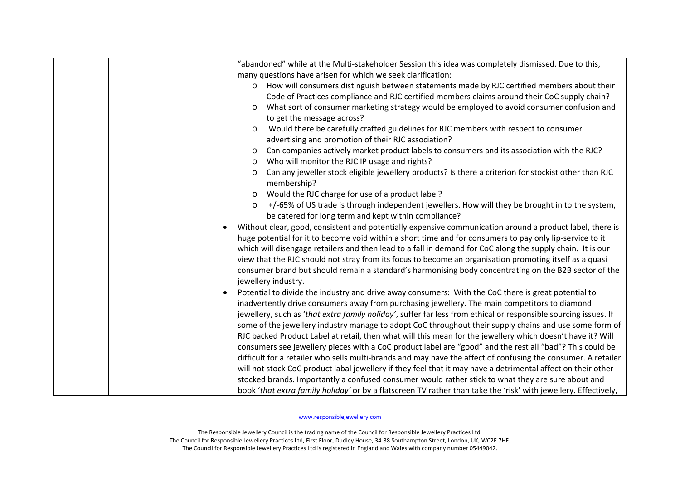| "abandoned" while at the Multi-stakeholder Session this idea was completely dismissed. Due to this,                                                                                                                                                                                                                                                                                                                                                                                                                                                                                        |
|--------------------------------------------------------------------------------------------------------------------------------------------------------------------------------------------------------------------------------------------------------------------------------------------------------------------------------------------------------------------------------------------------------------------------------------------------------------------------------------------------------------------------------------------------------------------------------------------|
| many questions have arisen for which we seek clarification:                                                                                                                                                                                                                                                                                                                                                                                                                                                                                                                                |
| How will consumers distinguish between statements made by RJC certified members about their<br>$\circ$                                                                                                                                                                                                                                                                                                                                                                                                                                                                                     |
| Code of Practices compliance and RJC certified members claims around their CoC supply chain?                                                                                                                                                                                                                                                                                                                                                                                                                                                                                               |
| What sort of consumer marketing strategy would be employed to avoid consumer confusion and<br>O                                                                                                                                                                                                                                                                                                                                                                                                                                                                                            |
| to get the message across?                                                                                                                                                                                                                                                                                                                                                                                                                                                                                                                                                                 |
| Would there be carefully crafted guidelines for RJC members with respect to consumer<br>$\circ$                                                                                                                                                                                                                                                                                                                                                                                                                                                                                            |
| advertising and promotion of their RJC association?                                                                                                                                                                                                                                                                                                                                                                                                                                                                                                                                        |
| Can companies actively market product labels to consumers and its association with the RJC?<br>$\circ$                                                                                                                                                                                                                                                                                                                                                                                                                                                                                     |
| Who will monitor the RJC IP usage and rights?<br>$\circ$                                                                                                                                                                                                                                                                                                                                                                                                                                                                                                                                   |
| Can any jeweller stock eligible jewellery products? Is there a criterion for stockist other than RJC<br>$\circ$<br>membership?                                                                                                                                                                                                                                                                                                                                                                                                                                                             |
| Would the RJC charge for use of a product label?<br>$\circ$                                                                                                                                                                                                                                                                                                                                                                                                                                                                                                                                |
| +/-65% of US trade is through independent jewellers. How will they be brought in to the system,<br>$\circ$                                                                                                                                                                                                                                                                                                                                                                                                                                                                                 |
| be catered for long term and kept within compliance?                                                                                                                                                                                                                                                                                                                                                                                                                                                                                                                                       |
| Without clear, good, consistent and potentially expensive communication around a product label, there is<br>$\bullet$<br>huge potential for it to become void within a short time and for consumers to pay only lip-service to it<br>which will disengage retailers and then lead to a fall in demand for CoC along the supply chain. It is our<br>view that the RJC should not stray from its focus to become an organisation promoting itself as a quasi<br>consumer brand but should remain a standard's harmonising body concentrating on the B2B sector of the<br>jewellery industry. |
| Potential to divide the industry and drive away consumers: With the CoC there is great potential to                                                                                                                                                                                                                                                                                                                                                                                                                                                                                        |
| inadvertently drive consumers away from purchasing jewellery. The main competitors to diamond                                                                                                                                                                                                                                                                                                                                                                                                                                                                                              |
| jewellery, such as 'that extra family holiday', suffer far less from ethical or responsible sourcing issues. If                                                                                                                                                                                                                                                                                                                                                                                                                                                                            |
| some of the jewellery industry manage to adopt CoC throughout their supply chains and use some form of                                                                                                                                                                                                                                                                                                                                                                                                                                                                                     |
| RJC backed Product Label at retail, then what will this mean for the jewellery which doesn't have it? Will                                                                                                                                                                                                                                                                                                                                                                                                                                                                                 |
| consumers see jewellery pieces with a CoC product label are "good" and the rest all "bad"? This could be                                                                                                                                                                                                                                                                                                                                                                                                                                                                                   |
| difficult for a retailer who sells multi-brands and may have the affect of confusing the consumer. A retailer                                                                                                                                                                                                                                                                                                                                                                                                                                                                              |
| will not stock CoC product labal jewellery if they feel that it may have a detrimental affect on their other                                                                                                                                                                                                                                                                                                                                                                                                                                                                               |
| stocked brands. Importantly a confused consumer would rather stick to what they are sure about and                                                                                                                                                                                                                                                                                                                                                                                                                                                                                         |
| book 'that extra family holiday' or by a flatscreen TV rather than take the 'risk' with jewellery. Effectively,                                                                                                                                                                                                                                                                                                                                                                                                                                                                            |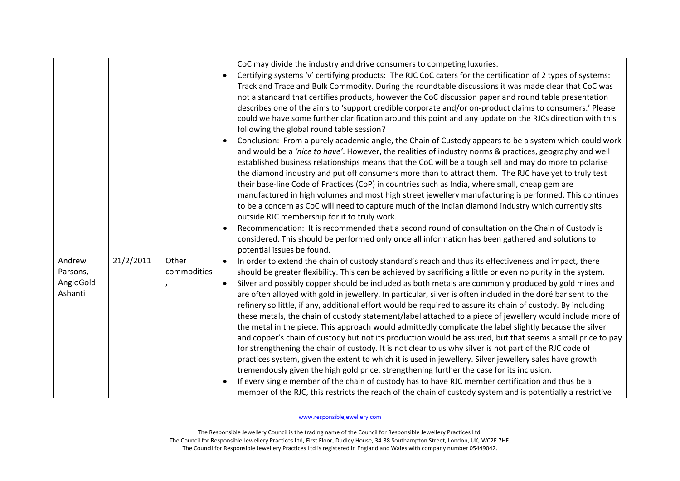|                                            |           |                      | CoC may divide the industry and drive consumers to competing luxuries.<br>Certifying systems 'v' certifying products: The RJC CoC caters for the certification of 2 types of systems:<br>$\bullet$<br>Track and Trace and Bulk Commodity. During the roundtable discussions it was made clear that CoC was<br>not a standard that certifies products, however the CoC discussion paper and round table presentation<br>describes one of the aims to 'support credible corporate and/or on-product claims to consumers.' Please<br>could we have some further clarification around this point and any update on the RJCs direction with this<br>following the global round table session?<br>Conclusion: From a purely academic angle, the Chain of Custody appears to be a system which could work<br>$\bullet$<br>and would be a 'nice to have'. However, the realities of industry norms & practices, geography and well<br>established business relationships means that the CoC will be a tough sell and may do more to polarise<br>the diamond industry and put off consumers more than to attract them. The RJC have yet to truly test<br>their base-line Code of Practices (CoP) in countries such as India, where small, cheap gem are<br>manufactured in high volumes and most high street jewellery manufacturing is performed. This continues<br>to be a concern as CoC will need to capture much of the Indian diamond industry which currently sits<br>outside RJC membership for it to truly work.<br>Recommendation: It is recommended that a second round of consultation on the Chain of Custody is<br>$\bullet$<br>considered. This should be performed only once all information has been gathered and solutions to<br>potential issues be found. |
|--------------------------------------------|-----------|----------------------|----------------------------------------------------------------------------------------------------------------------------------------------------------------------------------------------------------------------------------------------------------------------------------------------------------------------------------------------------------------------------------------------------------------------------------------------------------------------------------------------------------------------------------------------------------------------------------------------------------------------------------------------------------------------------------------------------------------------------------------------------------------------------------------------------------------------------------------------------------------------------------------------------------------------------------------------------------------------------------------------------------------------------------------------------------------------------------------------------------------------------------------------------------------------------------------------------------------------------------------------------------------------------------------------------------------------------------------------------------------------------------------------------------------------------------------------------------------------------------------------------------------------------------------------------------------------------------------------------------------------------------------------------------------------------------------------------------------------------------------------------------------------|
| Andrew<br>Parsons,<br>AngloGold<br>Ashanti | 21/2/2011 | Other<br>commodities | In order to extend the chain of custody standard's reach and thus its effectiveness and impact, there<br>$\bullet$<br>should be greater flexibility. This can be achieved by sacrificing a little or even no purity in the system.<br>Silver and possibly copper should be included as both metals are commonly produced by gold mines and<br>$\bullet$<br>are often alloyed with gold in jewellery. In particular, silver is often included in the doré bar sent to the<br>refinery so little, if any, additional effort would be required to assure its chain of custody. By including<br>these metals, the chain of custody statement/label attached to a piece of jewellery would include more of<br>the metal in the piece. This approach would admittedly complicate the label slightly because the silver<br>and copper's chain of custody but not its production would be assured, but that seems a small price to pay<br>for strengthening the chain of custody. It is not clear to us why silver is not part of the RJC code of<br>practices system, given the extent to which it is used in jewellery. Silver jewellery sales have growth<br>tremendously given the high gold price, strengthening further the case for its inclusion.<br>If every single member of the chain of custody has to have RJC member certification and thus be a<br>member of the RJC, this restricts the reach of the chain of custody system and is potentially a restrictive                                                                                                                                                                                                                                                                                                |